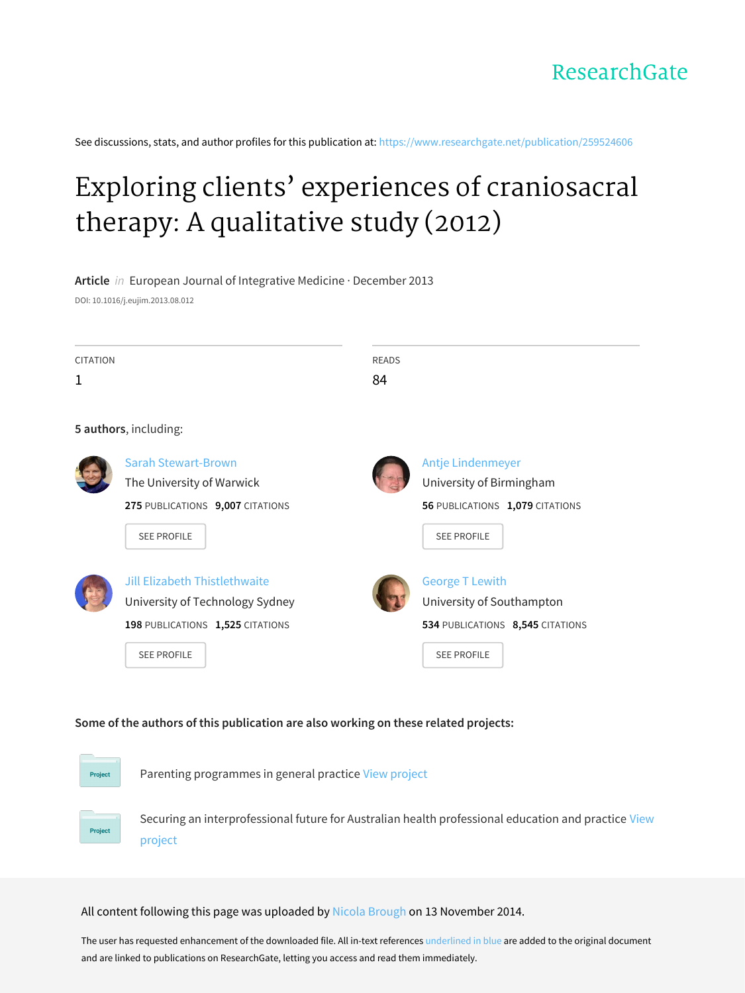See discussions, stats, and author profiles for this publication at: [https://www.researchgate.net/publication/259524606](https://www.researchgate.net/publication/259524606_Exploring_clients%27_experiences_of_craniosacral_therapy_A_qualitative_study_2012?enrichId=rgreq-b1ff20bbe4bdbd958d6c6984d63966f0-XXX&enrichSource=Y292ZXJQYWdlOzI1OTUyNDYwNjtBUzoxNjMwNDY1OTI4ODQ3MzdAMTQxNTg4NDc0NTY0Mg%3D%3D&el=1_x_2&_esc=publicationCoverPdf)

# Exploring clients' experiences of [craniosacral](https://www.researchgate.net/publication/259524606_Exploring_clients%27_experiences_of_craniosacral_therapy_A_qualitative_study_2012?enrichId=rgreq-b1ff20bbe4bdbd958d6c6984d63966f0-XXX&enrichSource=Y292ZXJQYWdlOzI1OTUyNDYwNjtBUzoxNjMwNDY1OTI4ODQ3MzdAMTQxNTg4NDc0NTY0Mg%3D%3D&el=1_x_3&_esc=publicationCoverPdf) therapy: A qualitative study (2012)

**Article** in European Journal of Integrative Medicine · December 2013

DOI: 10.1016/j.eujim.2013.08.012

| <b>CITATION</b>       |                                      | <b>READS</b> |                                  |
|-----------------------|--------------------------------------|--------------|----------------------------------|
| 1                     |                                      | 84           |                                  |
|                       |                                      |              |                                  |
| 5 authors, including: |                                      |              |                                  |
|                       | <b>Sarah Stewart-Brown</b>           |              | Antje Lindenmeyer                |
|                       | The University of Warwick            |              | University of Birmingham         |
|                       | 275 PUBLICATIONS 9,007 CITATIONS     |              | 56 PUBLICATIONS 1,079 CITATIONS  |
|                       | <b>SEE PROFILE</b>                   |              | <b>SEE PROFILE</b>               |
|                       |                                      |              |                                  |
|                       | <b>Jill Elizabeth Thistlethwaite</b> |              | <b>George T Lewith</b>           |
|                       | University of Technology Sydney      |              | University of Southampton        |
|                       | 198 PUBLICATIONS 1,525 CITATIONS     |              | 534 PUBLICATIONS 8,545 CITATIONS |
|                       | <b>SEE PROFILE</b>                   |              | <b>SEE PROFILE</b>               |
|                       |                                      |              |                                  |

### **Some of the authors of this publication are also working on these related projects:**



Parenting programmes in general practice View [project](https://www.researchgate.net/project/Parenting-programmes-in-general-practice?enrichId=rgreq-b1ff20bbe4bdbd958d6c6984d63966f0-XXX&enrichSource=Y292ZXJQYWdlOzI1OTUyNDYwNjtBUzoxNjMwNDY1OTI4ODQ3MzdAMTQxNTg4NDc0NTY0Mg%3D%3D&el=1_x_9&_esc=publicationCoverPdf)



Securing an [interprofessional](https://www.researchgate.net/project/Securing-an-interprofessional-future-for-Australian-health-professional-education-and-practice?enrichId=rgreq-b1ff20bbe4bdbd958d6c6984d63966f0-XXX&enrichSource=Y292ZXJQYWdlOzI1OTUyNDYwNjtBUzoxNjMwNDY1OTI4ODQ3MzdAMTQxNTg4NDc0NTY0Mg%3D%3D&el=1_x_9&_esc=publicationCoverPdf) future for Australian health professional education and practice View project

All content following this page was uploaded by Nicola [Brough](https://www.researchgate.net/profile/Nicola_Brough?enrichId=rgreq-b1ff20bbe4bdbd958d6c6984d63966f0-XXX&enrichSource=Y292ZXJQYWdlOzI1OTUyNDYwNjtBUzoxNjMwNDY1OTI4ODQ3MzdAMTQxNTg4NDc0NTY0Mg%3D%3D&el=1_x_10&_esc=publicationCoverPdf) on 13 November 2014.

The user has requested enhancement of the downloaded file. All in-text references underlined in blue are added to the original document and are linked to publications on ResearchGate, letting you access and read them immediately.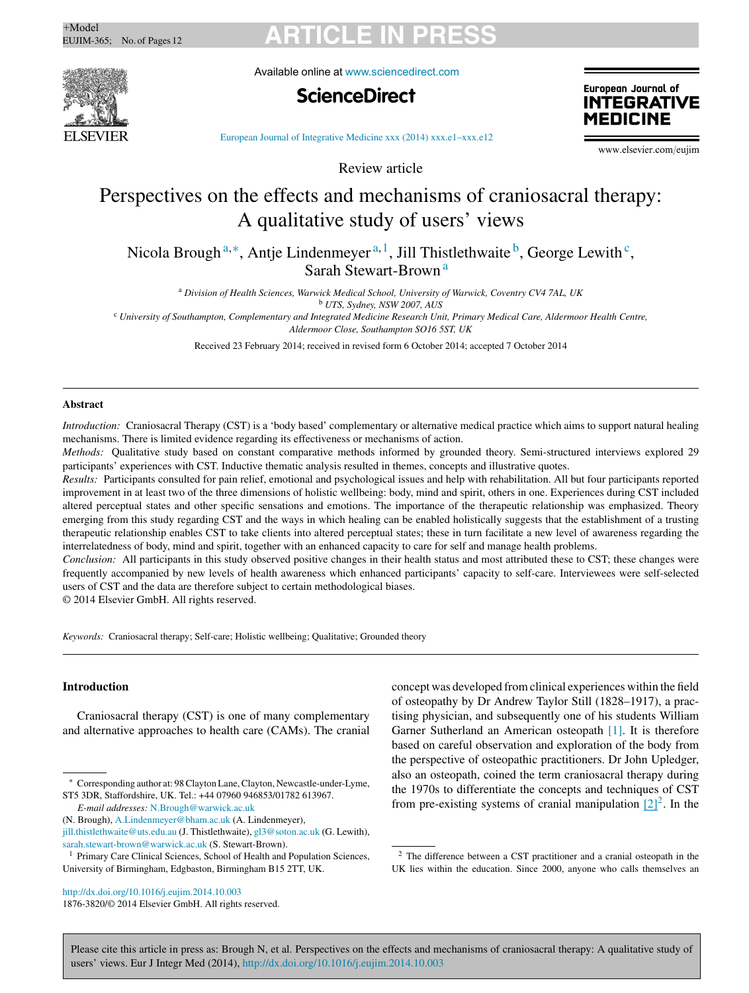**FI SEVIER** 

Available online at [www.sciencedirect.com](http://www.sciencedirect.com/science/journal/18763820)



European Journal of **INTEGRATIVE MEDICINE** 

European Journal of Integrative Medicine xxx (2014) [xxx.e1–xxx.e12](dx.doi.org/10.1016/j.eujim.2014.10.003)

www.elsevier.com/eujim

### Perspectives on the effects and mechanisms of craniosacral therapy: A qualitative study of users' views

Review article

Nicola Brough<sup>a,\*</sup>, Antje Lindenmeyer<sup>a,1</sup>, Jill Thistlethwaite<sup>b</sup>, George Lewith<sup>c</sup>, Sarah Stewart-Brown <sup>a</sup>

<sup>a</sup> *Division of Health Sciences, Warwick Medical School, University of Warwick, Coventry CV4 7AL, UK*

<sup>b</sup> *UTS, Sydney, NSW 2007, AUS*

<sup>c</sup> University of Southampton, Complementary and Integrated Medicine Research Unit, Primary Medical Care, Aldermoor Health Centre,

*Aldermoor Close, Southampton SO16 5ST, UK*

Received 23 February 2014; received in revised form 6 October 2014; accepted 7 October 2014

#### **Abstract**

*Introduction:* Craniosacral Therapy (CST) is a 'body based' complementary or alternative medical practice which aims to support natural healing mechanisms. There is limited evidence regarding its effectiveness or mechanisms of action.

*Methods:* Qualitative study based on constant comparative methods informed by grounded theory. Semi-structured interviews explored 29 participants' experiences with CST. Inductive thematic analysis resulted in themes, concepts and illustrative quotes.

*Results:* Participants consulted for pain relief, emotional and psychological issues and help with rehabilitation. All but four participants reported improvement in at least two of the three dimensions of holistic wellbeing: body, mind and spirit, others in one. Experiences during CST included altered perceptual states and other specific sensations and emotions. The importance of the therapeutic relationship was emphasized. Theory emerging from this study regarding CST and the ways in which healing can be enabled holistically suggests that the establishment of a trusting therapeutic relationship enables CST to take clients into altered perceptual states; these in turn facilitate a new level of awareness regarding the interrelatedness of body, mind and spirit, together with an enhanced capacity to care for self and manage health problems.

*Conclusion:* All participants in this study observed positive changes in their health status and most attributed these to CST; these changes were frequently accompanied by new levels of health awareness which enhanced participants' capacity to self-care. Interviewees were self-selected users of CST and the data are therefore subject to certain methodological biases.

© 2014 Elsevier GmbH. All rights reserved.

*Keywords:* Craniosacral therapy; Self-care; Holistic wellbeing; Qualitative; Grounded theory

### **Introduction**

Craniosacral therapy (CST) is one of many complementary and alternative approaches to health care (CAMs). The cranial

*E-mail addresses:* [N.Brough@warwick.ac.uk](mailto:N.Brough@warwick.ac.uk)

concept was developed from clinical experiences within the field of osteopathy by Dr Andrew Taylor Still (1828–1917), a practising physician, and subsequently one of his students William Garner Sutherland an American osteopath [\[1\].](#page-11-0) It is therefore based on careful observation and exploration of the body from the perspective of osteopathic practitioners. Dr John Upledger, also an osteopath, coined the term craniosacral therapy during the 1970s to differentiate the concepts and techniques of CST from pre-existing systems of cranial manipulation  $[2]^2$  $[2]^2$ . In the

[http://dx.doi.org/10.1016/j.eujim.2014.10.003](dx.doi.org/10.1016/j.eujim.2014.10.003)

1876-3820/© 2014 Elsevier GmbH. All rights reserved.

Corresponding author at: 98 Clayton Lane, Clayton, Newcastle-under-Lyme, ST5 3DR, Staffordshire, UK. Tel.: +44 07960 946853/01782 613967.

<sup>(</sup>N. Brough), [A.Lindenmeyer@bham.ac.uk](mailto:A.Lindenmeyer@bham.ac.uk) (A. Lindenmeyer),

[jill.thistlethwaite@uts.edu.au](mailto:jill.thistlethwaite@uts.edu.au) (J. Thistlethwaite), [gl3@soton.ac.uk](mailto:gl3@soton.ac.uk) (G. Lewith), [sarah.stewart-brown@warwick.ac.uk](mailto:sarah.stewart-brown@warwick.ac.uk) (S. Stewart-Brown).

<sup>&</sup>lt;sup>1</sup> Primary Care Clinical Sciences, School of Health and Population Sciences, University of Birmingham, Edgbaston, Birmingham B15 2TT, UK.

<sup>2</sup> The difference between a CST practitioner and a cranial osteopath in the UK lies within the education. Since 2000, anyone who calls themselves an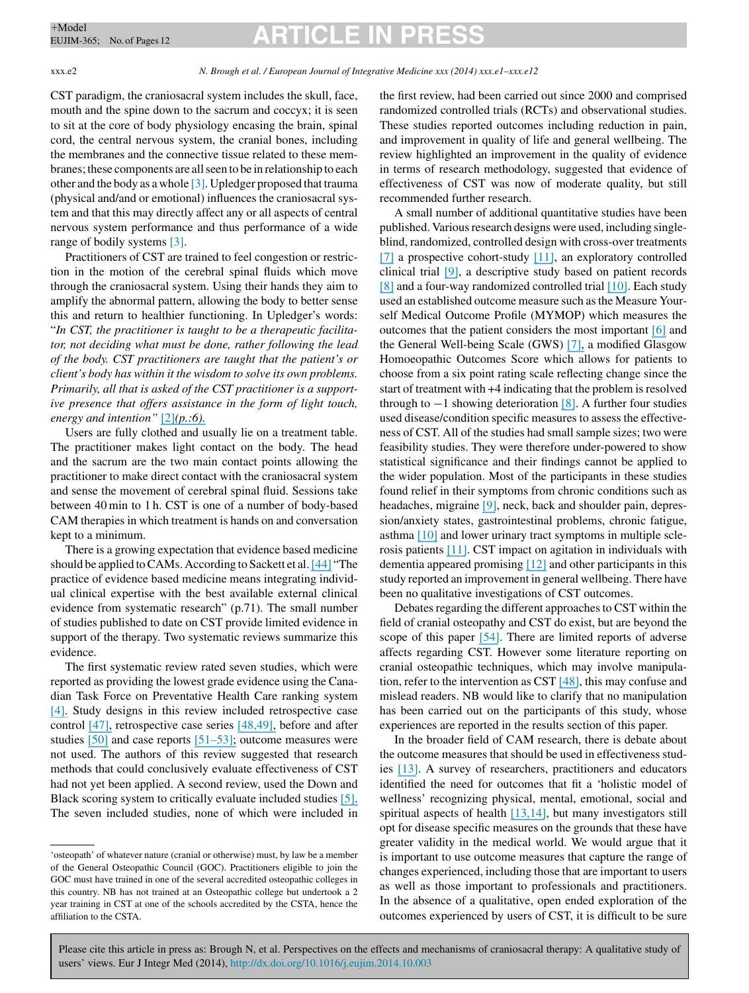#### xxx.e2 *N. Brough et al. / European Journal of Integrative Medicine xxx (2014) xxx.e1–xxx.e12*

CST paradigm, the craniosacral system includes the skull, face, mouth and the spine down to the sacrum and coccyx; it is seen to sit at the core of body physiology encasing the brain, spinal cord, the central nervous system, the cranial bones, including the membranes and the connective tissue related to these membranes; these components are allseen to be in relationship to each other and the body as a whole [\[3\].](#page-11-0) Upledger proposed that trauma (physical and/and or emotional) influences the craniosacral system and that this may directly affect any or all aspects of central nervous system performance and thus performance of a wide range of bodily systems [\[3\].](#page-11-0)

Practitioners of CST are trained to feel congestion or restriction in the motion of the cerebral spinal fluids which move through the craniosacral system. Using their hands they aim to amplify the abnormal pattern, allowing the body to better sense this and return to healthier functioning. In Upledger's words: "*In CST, the practitioner is taught to be a therapeutic facilitator, not deciding what must be done, rather following the lead of the body. CST practitioners are taught that the patient's or client's body has within it the wisdom to solve its own problems. Primarily, all that is asked of the CST practitioner is a supportive presence that offers assistance in the form of light touch, energy and intention"* [\[2\]](#page-11-0)*[\(p.:6\).](https://www.researchgate.net/publication/244877593_Response_to_Craniosacral_iatrogenesis?el=1_x_8&enrichId=rgreq-b1ff20bbe4bdbd958d6c6984d63966f0-XXX&enrichSource=Y292ZXJQYWdlOzI1OTUyNDYwNjtBUzoxNjMwNDY1OTI4ODQ3MzdAMTQxNTg4NDc0NTY0Mg==)*

Users are fully clothed and usually lie on a treatment table. The practitioner makes light contact on the body. The head and the sacrum are the two main contact points allowing the practitioner to make direct contact with the craniosacral system and sense the movement of cerebral spinal fluid. Sessions take between 40 min to 1 h. CST is one of a number of body-based CAM therapies in which treatment is hands on and conversation kept to a minimum.

There is a growing expectation that evidence based medicine should be applied to CAMs. According to Sackett et al. [\[44\]](https://www.researchgate.net/publication/14644450_Evidence_based_medicine_What_it_is_and_what_it_isn) "The practice of evidence based medicine means integrating individual clinical expertise with the best available external clinical evidence from systematic research" (p.71). The small number of studies published to date on CST provide limited evidence in support of the therapy. Two systematic reviews summarize this evidence.

The first systematic review rated seven studies, which were reported as providing the lowest grade evidence using the Canadian Task Force on Preventative Health Care ranking system [\[4\].](https://www.researchgate.net/publication/12607045_A_systematic_review_of_craniosacral_therapy_Biological_plausibility_assessment_reliability_and_clinical_effectiveness?el=1_x_8&enrichId=rgreq-b1ff20bbe4bdbd958d6c6984d63966f0-XXX&enrichSource=Y292ZXJQYWdlOzI1OTUyNDYwNjtBUzoxNjMwNDY1OTI4ODQ3MzdAMTQxNTg4NDc0NTY0Mg==) Study designs in this review included retrospective case control [\[47\],](https://www.researchgate.net/publication/14617716_Chiropractic_care_including_craniosacral_therapy_during_pregnancy_A_static-group_comparison_of_obstetric_interventions_during_labor_and_delivery?el=1_x_8&enrichId=rgreq-b1ff20bbe4bdbd958d6c6984d63966f0-XXX&enrichSource=Y292ZXJQYWdlOzI1OTUyNDYwNjtBUzoxNjMwNDY1OTI4ODQ3MzdAMTQxNTg4NDc0NTY0Mg==) retrospective case series [\[48,49\],](https://www.researchgate.net/publication/19401457_The_craniosacral_mechanism_and_the_temporomandibular_joint?el=1_x_8&enrichId=rgreq-b1ff20bbe4bdbd958d6c6984d63966f0-XXX&enrichSource=Y292ZXJQYWdlOzI1OTUyNDYwNjtBUzoxNjMwNDY1OTI4ODQ3MzdAMTQxNTg4NDc0NTY0Mg==) before and after studies  $[50]$  and case reports  $[51-53]$ ; outcome measures were not used. The authors of this review suggested that research methods that could conclusively evaluate effectiveness of CST had not yet been applied. A second review, used the Down and Black scoring system to critically evaluate included studies [\[5\].](https://www.researchgate.net/publication/232963223_A_systematic_review_to_evaluate_the_clinical_benefits_of_craniosacral_therapy?el=1_x_8&enrichId=rgreq-b1ff20bbe4bdbd958d6c6984d63966f0-XXX&enrichSource=Y292ZXJQYWdlOzI1OTUyNDYwNjtBUzoxNjMwNDY1OTI4ODQ3MzdAMTQxNTg4NDc0NTY0Mg==) The seven included studies, none of which were included in

the first review, had been carried out since 2000 and comprised randomized controlled trials (RCTs) and observational studies. These studies reported outcomes including reduction in pain, and improvement in quality of life and general wellbeing. The review highlighted an improvement in the quality of evidence in terms of research methodology, suggested that evidence of effectiveness of CST was now of moderate quality, but still recommended further research.

A small number of additional quantitative studies have been published. Various research designs were used, including singleblind, randomized, controlled design with cross-over treatments [\[7\]](https://www.researchgate.net/publication/253567624_Can_craniosacral_treatment_improve_the_well-being_of_patients?el=1_x_8&enrichId=rgreq-b1ff20bbe4bdbd958d6c6984d63966f0-XXX&enrichSource=Y292ZXJQYWdlOzI1OTUyNDYwNjtBUzoxNjMwNDY1OTI4ODQ3MzdAMTQxNTg4NDc0NTY0Mg==) a prospective cohort-study [\[11](https://www.researchgate.net/publication/24253556_Effect_of_craniosacral_therapy_on_lower_urinary_tract_signs_and_symptoms_in_multiple_sclerosis?el=1_x_8&enrichId=rgreq-b1ff20bbe4bdbd958d6c6984d63966f0-XXX&enrichSource=Y292ZXJQYWdlOzI1OTUyNDYwNjtBUzoxNjMwNDY1OTI4ODQ3MzdAMTQxNTg4NDc0NTY0Mg==)[\],](#page-11-0) an exploratory controlled clinical trial [\[9](https://www.researchgate.net/publication/5316500_Craniosacral_therapy_for_migraine_Protocol_development_for_an_exploratory_controlled_clinical_trial?el=1_x_8&enrichId=rgreq-b1ff20bbe4bdbd958d6c6984d63966f0-XXX&enrichSource=Y292ZXJQYWdlOzI1OTUyNDYwNjtBUzoxNjMwNDY1OTI4ODQ3MzdAMTQxNTg4NDc0NTY0Mg==)[\],](#page-11-0) a descriptive study based on patient records [\[8\]](https://www.researchgate.net/publication/49736613_Multipractitioner_Upledger_CranioSacral_Therapy_Descriptive_Outcome_Study_2007-2008?el=1_x_8&enrichId=rgreq-b1ff20bbe4bdbd958d6c6984d63966f0-XXX&enrichSource=Y292ZXJQYWdlOzI1OTUyNDYwNjtBUzoxNjMwNDY1OTI4ODQ3MzdAMTQxNTg4NDc0NTY0Mg==) and a four-way randomized controlled trial [\[10](https://www.researchgate.net/publication/6567384_The_Impact_of_Acupuncture_and_Craniosacral_Therapy_Interventions_on_Clinical_Outcomes_in_Adults_With_Asthma?el=1_x_8&enrichId=rgreq-b1ff20bbe4bdbd958d6c6984d63966f0-XXX&enrichSource=Y292ZXJQYWdlOzI1OTUyNDYwNjtBUzoxNjMwNDY1OTI4ODQ3MzdAMTQxNTg4NDc0NTY0Mg==)[\].](#page-11-0) Each study used an established outcome measure such asthe Measure Yourself Medical Outcome Profile (MYMOP) which measures the outcomes that the patient considers the most important [\[6\]](https://www.researchgate.net/publication/237381404_The_effectiveness_of_craniosacral_treatment?el=1_x_8&enrichId=rgreq-b1ff20bbe4bdbd958d6c6984d63966f0-XXX&enrichSource=Y292ZXJQYWdlOzI1OTUyNDYwNjtBUzoxNjMwNDY1OTI4ODQ3MzdAMTQxNTg4NDc0NTY0Mg==) and the General Well-being Scale (GWS) [\[7\],](https://www.researchgate.net/publication/253567624_Can_craniosacral_treatment_improve_the_well-being_of_patients?el=1_x_8&enrichId=rgreq-b1ff20bbe4bdbd958d6c6984d63966f0-XXX&enrichSource=Y292ZXJQYWdlOzI1OTUyNDYwNjtBUzoxNjMwNDY1OTI4ODQ3MzdAMTQxNTg4NDc0NTY0Mg==) a modified Glasgow Homoeopathic Outcomes Score which allows for patients to choose from a six point rating scale reflecting change since the start of treatment with  $+4$  indicating that the problem is resolved through to  $-1$  showing deterioration [\[8](https://www.researchgate.net/publication/49736613_Multipractitioner_Upledger_CranioSacral_Therapy_Descriptive_Outcome_Study_2007-2008?el=1_x_8&enrichId=rgreq-b1ff20bbe4bdbd958d6c6984d63966f0-XXX&enrichSource=Y292ZXJQYWdlOzI1OTUyNDYwNjtBUzoxNjMwNDY1OTI4ODQ3MzdAMTQxNTg4NDc0NTY0Mg==)[\].](#page-11-0) A further four studies used disease/condition specific measures to assess the effectiveness of CST. All of the studies had small sample sizes; two were feasibility studies. They were therefore under-powered to show statistical significance and their findings cannot be applied to the wider population. Most of the participants in these studies found relief in their symptoms from chronic conditions such as headaches, migraine [\[9](https://www.researchgate.net/publication/5316500_Craniosacral_therapy_for_migraine_Protocol_development_for_an_exploratory_controlled_clinical_trial?el=1_x_8&enrichId=rgreq-b1ff20bbe4bdbd958d6c6984d63966f0-XXX&enrichSource=Y292ZXJQYWdlOzI1OTUyNDYwNjtBUzoxNjMwNDY1OTI4ODQ3MzdAMTQxNTg4NDc0NTY0Mg==)[\],](#page-11-0) neck, back and shoulder pain, depression/anxiety states, gastrointestinal problems, chronic fatigue, asthma [\[10\]](https://www.researchgate.net/publication/6567384_The_Impact_of_Acupuncture_and_Craniosacral_Therapy_Interventions_on_Clinical_Outcomes_in_Adults_With_Asthma?el=1_x_8&enrichId=rgreq-b1ff20bbe4bdbd958d6c6984d63966f0-XXX&enrichSource=Y292ZXJQYWdlOzI1OTUyNDYwNjtBUzoxNjMwNDY1OTI4ODQ3MzdAMTQxNTg4NDc0NTY0Mg==) and lower urinary tract symptoms in multiple sclerosis patients [\[11](https://www.researchgate.net/publication/24253556_Effect_of_craniosacral_therapy_on_lower_urinary_tract_signs_and_symptoms_in_multiple_sclerosis?el=1_x_8&enrichId=rgreq-b1ff20bbe4bdbd958d6c6984d63966f0-XXX&enrichSource=Y292ZXJQYWdlOzI1OTUyNDYwNjtBUzoxNjMwNDY1OTI4ODQ3MzdAMTQxNTg4NDc0NTY0Mg==)[\].](#page-11-0) CST impact on agitation in individuals with dementia appeared promising [\[12\]](https://www.researchgate.net/publication/5501181_Craniosacral_still_point_technique_Exploring_its_effects_in_individuals_with_dementia?el=1_x_8&enrichId=rgreq-b1ff20bbe4bdbd958d6c6984d63966f0-XXX&enrichSource=Y292ZXJQYWdlOzI1OTUyNDYwNjtBUzoxNjMwNDY1OTI4ODQ3MzdAMTQxNTg4NDc0NTY0Mg==) and other participants in this study reported an improvement in general wellbeing. There have been no qualitative investigations of CST outcomes.

Debates regarding the different approaches to CST within the field of cranial osteopathy and CST do exist, but are beyond the scope of this paper [\[54](https://www.researchgate.net/publication/7001330_The_biodynamic_model_of_osteopathy_in_the_cranial_field?el=1_x_8&enrichId=rgreq-b1ff20bbe4bdbd958d6c6984d63966f0-XXX&enrichSource=Y292ZXJQYWdlOzI1OTUyNDYwNjtBUzoxNjMwNDY1OTI4ODQ3MzdAMTQxNTg4NDc0NTY0Mg==)[\].](#page-12-0) There are limited reports of adverse affects regarding CST. However some literature reporting on cranial osteopathic techniques, which may involve manipulation, refer to the intervention as CST [\[48](https://www.researchgate.net/publication/15448360_Cranial_findings_and_iatrogenesis_from_craniosacral_manipulation_in_patients_with_traumatic_brain_syndrome?el=1_x_8&enrichId=rgreq-b1ff20bbe4bdbd958d6c6984d63966f0-XXX&enrichSource=Y292ZXJQYWdlOzI1OTUyNDYwNjtBUzoxNjMwNDY1OTI4ODQ3MzdAMTQxNTg4NDc0NTY0Mg==)[\],](#page-12-0) this may confuse and mislead readers. NB would like to clarify that no manipulation has been carried out on the participants of this study, whose experiences are reported in the results section of this paper.

In the broader field of CAM research, there is debate about the outcome measures that should be used in effectiveness studies [\[13](https://www.researchgate.net/publication/7437822_Integrative_Health_Care_How_Can_We_Determine_Whether_Patients_Benefit?el=1_x_8&enrichId=rgreq-b1ff20bbe4bdbd958d6c6984d63966f0-XXX&enrichSource=Y292ZXJQYWdlOzI1OTUyNDYwNjtBUzoxNjMwNDY1OTI4ODQ3MzdAMTQxNTg4NDc0NTY0Mg==)[\].](#page-11-0) A survey of researchers, practitioners and educators identified the need for outcomes that fit a 'holistic model of wellness' recognizing physical, mental, emotional, social and spiritual aspects of health  $[13,14]$  $[13,14]$  $[13,14]$ , but many investigators still opt for disease specific measures on the grounds that these have greater validity in the medical world. We would argue that it is important to use outcome measures that capture the range of changes experienced, including those that are important to users as well as those important to professionals and practitioners. In the absence of a qualitative, open ended exploration of the outcomes experienced by users of CST, it is difficult to be sure

<sup>&#</sup>x27;osteopath' of whatever nature (cranial or otherwise) must, by law be a member of the General Osteopathic Council (GOC). Practitioners eligible to join the GOC must have trained in one of the several accredited osteopathic colleges in this country. NB has not trained at an Osteopathic college but undertook a 2 year training in CST at one of the schools accredited by the CSTA, hence the affiliation to the CSTA.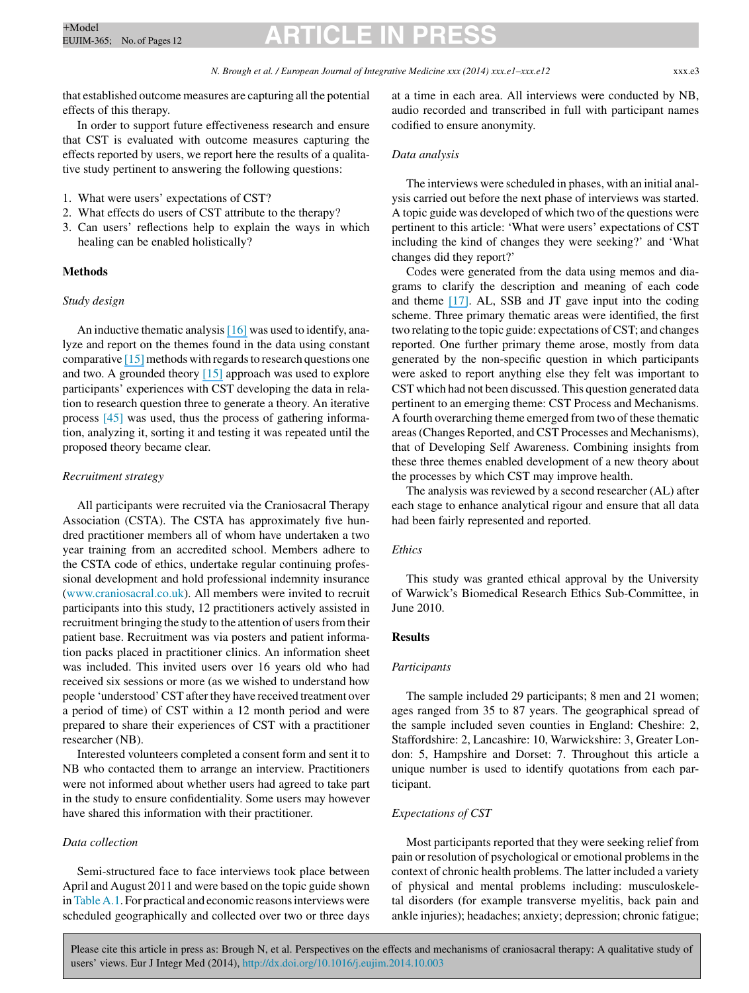that established outcome measures are capturing all the potential effects of this therapy.

In order to support future effectiveness research and ensure that CST is evaluated with outcome measures capturing the effects reported by users, we report here the results of a qualitative study pertinent to answering the following questions:

- 1. What were users' expectations of CST?
- 2. What effects do users of CST attribute to the therapy?
- 3. Can users' reflections help to explain the ways in which healing can be enabled holistically?

#### **Methods**

### *Study design*

An inductive thematic analysis [\[16\]](https://www.researchgate.net/publication/235356393_Using_Thematic_Analysis_in_Psychology?el=1_x_8&enrichId=rgreq-b1ff20bbe4bdbd958d6c6984d63966f0-XXX&enrichSource=Y292ZXJQYWdlOzI1OTUyNDYwNjtBUzoxNjMwNDY1OTI4ODQ3MzdAMTQxNTg4NDc0NTY0Mg==) was used to identify, analyze and report on the themes found in the data using constant co[m](#page-11-0)parative  $[15]$  methods with regards to research questions one and two. A grounded theory [\[15\]](https://www.researchgate.net/publication/215915768_The_Discovery_Of_Grounded_Theory_Strategies_For_Qualitative_Research?el=1_x_8&enrichId=rgreq-b1ff20bbe4bdbd958d6c6984d63966f0-XXX&enrichSource=Y292ZXJQYWdlOzI1OTUyNDYwNjtBUzoxNjMwNDY1OTI4ODQ3MzdAMTQxNTg4NDc0NTY0Mg==) approach was used to explore participants' experiences with CST developing the data in relation to research question three to generate a theory. An iterative process [\[45\]](#page-12-0) was used, thus the process of gathering information, analyzing it, sorting it and testing it was repeated until the proposed theory became clear.

#### *Recruitment strategy*

All participants were recruited via the Craniosacral Therapy Association (CSTA). The CSTA has approximately five hundred practitioner members all of whom have undertaken a two year training from an accredited school. Members adhere to the CSTA code of ethics, undertake regular continuing professional development and hold professional indemnity insurance ([www.craniosacral.co.uk\)](http://www.craniosacral.co.uk/). All members were invited to recruit participants into this study, 12 practitioners actively assisted in recruitment bringing the study to the attention of users from their patient base. Recruitment was via posters and patient information packs placed in practitioner clinics. An information sheet was included. This invited users over 16 years old who had received six sessions or more (as we wished to understand how people 'understood' CST after they have received treatment over a period of time) of CST within a 12 month period and were prepared to share their experiences of CST with a practitioner researcher (NB).

Interested volunteers completed a consent form and sent it to NB who contacted them to arrange an interview. Practitioners were not informed about whether users had agreed to take part in the study to ensure confidentiality. Some users may however have shared this information with their practitioner.

### *Data collection*

Semi-structured face to face interviews took place between April and August 2011 and were based on the topic guide shown in Table A.1. For practical and economic reasons interviews were scheduled geographically and collected over two or three days at a time in each area. All interviews were conducted by NB, audio recorded and transcribed in full with participant names codified to ensure anonymity.

### *Data analysis*

The interviews were scheduled in phases, with an initial analysis carried out before the next phase of interviews was started. A topic guide was developed of which two of the questions were pertinent to this article: 'What were users' expectations of CST including the kind of changes they were seeking?' and 'What changes did they report?'

Codes were generated from the data using memos and diagrams to clarify the description and meaning of each code and theme [\[17](https://www.researchgate.net/publication/245581479_Basics_Of_Qualitative_Research_Grounded_Theory_Procedures_And_Techniques?el=1_x_8&enrichId=rgreq-b1ff20bbe4bdbd958d6c6984d63966f0-XXX&enrichSource=Y292ZXJQYWdlOzI1OTUyNDYwNjtBUzoxNjMwNDY1OTI4ODQ3MzdAMTQxNTg4NDc0NTY0Mg==)[\].](#page-11-0) AL, SSB and JT gave input into the coding scheme. Three primary thematic areas were identified, the first two relating to the topic guide: expectations ofCST; and changes reported. One further primary theme arose, mostly from data generated by the non-specific question in which participants were asked to report anything else they felt was important to CST which had not been discussed. This question generated data pertinent to an emerging theme: CST Process and Mechanisms. A fourth overarching theme emerged from two of these thematic areas(Changes Reported, and CST Processes and Mechanisms), that of Developing Self Awareness. Combining insights from these three themes enabled development of a new theory about the processes by which CST may improve health.

The analysis was reviewed by a second researcher (AL) after each stage to enhance analytical rigour and ensure that all data had been fairly represented and reported.

#### *Ethics*

This study was granted ethical approval by the University of Warwick's Biomedical Research Ethics Sub-Committee, in June 2010.

### **Results**

#### *Participants*

The sample included 29 participants; 8 men and 21 women; ages ranged from 35 to 87 years. The geographical spread of the sample included seven counties in England: Cheshire: 2, Staffordshire: 2, Lancashire: 10, Warwickshire: 3, Greater London: 5, Hampshire and Dorset: 7. Throughout this article a unique number is used to identify quotations from each participant.

### *Expectations of CST*

Most participants reported that they were seeking relief from pain or resolution of psychological or emotional problemsin the context of chronic health problems. The latter included a variety of physical and mental problems including: musculoskeletal disorders (for example transverse myelitis, back pain and ankle injuries); headaches; anxiety; depression; chronic fatigue;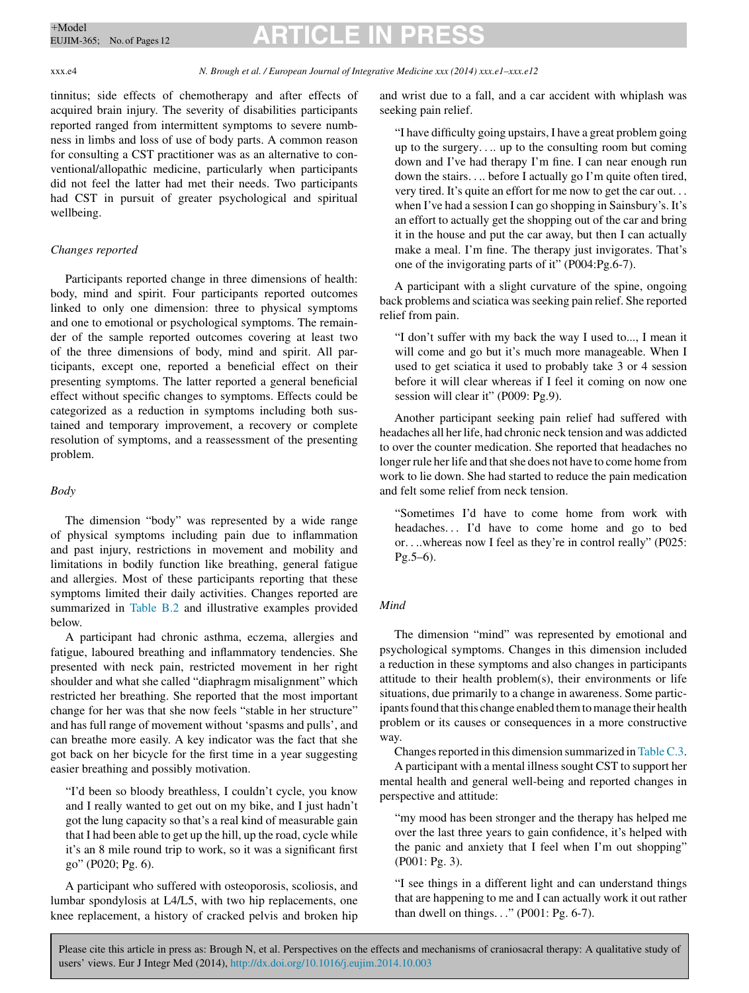### xxx.e4 *N. Brough et al. / European Journal of Integrative Medicine xxx (2014) xxx.e1–xxx.e12*

tinnitus; side effects of chemotherapy and after effects of acquired brain injury. The severity of disabilities participants reported ranged from intermittent symptoms to severe numbness in limbs and loss of use of body parts. A common reason for consulting a CST practitioner was as an alternative to conventional/allopathic medicine, particularly when participants did not feel the latter had met their needs. Two participants had CST in pursuit of greater psychological and spiritual wellbeing.

### *Changes reported*

Participants reported change in three dimensions of health: body, mind and spirit. Four participants reported outcomes linked to only one dimension: three to physical symptoms and one to emotional or psychological symptoms. The remainder of the sample reported outcomes covering at least two of the three dimensions of body, mind and spirit. All participants, except one, reported a beneficial effect on their presenting symptoms. The latter reported a general beneficial effect without specific changes to symptoms. Effects could be categorized as a reduction in symptoms including both sustained and temporary improvement, a recovery or complete resolution of symptoms, and a reassessment of the presenting problem.

### *Body*

The dimension "body" was represented by a wide range of physical symptoms including pain due to inflammation and past injury, restrictions in movement and mobility and limitations in bodily function like breathing, general fatigue and allergies. Most of these participants reporting that these symptoms limited their daily activities. Changes reported are summarized in [Table](#page-11-0) B.2 and illustrative examples provided below.

A participant had chronic asthma, eczema, allergies and fatigue, laboured breathing and inflammatory tendencies. She presented with neck pain, restricted movement in her right shoulder and what she called "diaphragm misalignment" which restricted her breathing. She reported that the most important change for her was that she now feels "stable in her structure" and has full range of movement without 'spasms and pulls', and can breathe more easily. A key indicator was the fact that she got back on her bicycle for the first time in a year suggesting easier breathing and possibly motivation.

"I'd been so bloody breathless, I couldn't cycle, you know and I really wanted to get out on my bike, and I just hadn't got the lung capacity so that's a real kind of measurable gain that I had been able to get up the hill, up the road, cycle while it's an 8 mile round trip to work, so it was a significant first go" (P020; Pg. 6).

A participant who suffered with osteoporosis, scoliosis, and lumbar spondylosis at L4/L5, with two hip replacements, one knee replacement, a history of cracked pelvis and broken hip and wrist due to a fall, and a car accident with whiplash was seeking pain relief.

"I have difficulty going upstairs, I have a great problem going up to the surgery. . .. up to the consulting room but coming down and I've had therapy I'm fine. I can near enough run down the stairs. . .. before I actually go I'm quite often tired, very tired. It's quite an effort for me now to get the car out. . . when I've had a session I can go shopping in Sainsbury's. It's an effort to actually get the shopping out of the car and bring it in the house and put the car away, but then I can actually make a meal. I'm fine. The therapy just invigorates. That's one of the invigorating parts of it" (P004:Pg.6-7).

A participant with a slight curvature of the spine, ongoing back problems and sciatica wasseeking pain relief. She reported relief from pain.

"I don't suffer with my back the way I used to..., I mean it will come and go but it's much more manageable. When I used to get sciatica it used to probably take 3 or 4 session before it will clear whereas if I feel it coming on now one session will clear it" (P009: Pg.9).

Another participant seeking pain relief had suffered with headaches all her life, had chronic neck tension and was addicted to over the counter medication. She reported that headaches no longer rule her life and that she does not have to come home from work to lie down. She had started to reduce the pain medication and felt some relief from neck tension.

"Sometimes I'd have to come home from work with headaches... I'd have to come home and go to bed or. . ..whereas now I feel as they're in control really" (P025: Pg.5–6).

### *Mind*

The dimension "mind" was represented by emotional and psychological symptoms. Changes in this dimension included a reduction in these symptoms and also changes in participants attitude to their health problem(s), their environments or life situations, due primarily to a change in awareness. Some participants found that this change enabled them to manage their health problem or its causes or consequences in a more constructive way.

Changes reported in this dimension summarized in Table C.3.

A participant with a mental illness sought CST to support her mental health and general well-being and reported changes in perspective and attitude:

"my mood has been stronger and the therapy has helped me over the last three years to gain confidence, it's helped with the panic and anxiety that I feel when I'm out shopping" (P001: Pg. 3).

"I see things in a different light and can understand things that are happening to me and I can actually work it out rather than dwell on things. . ." (P001: Pg. 6-7).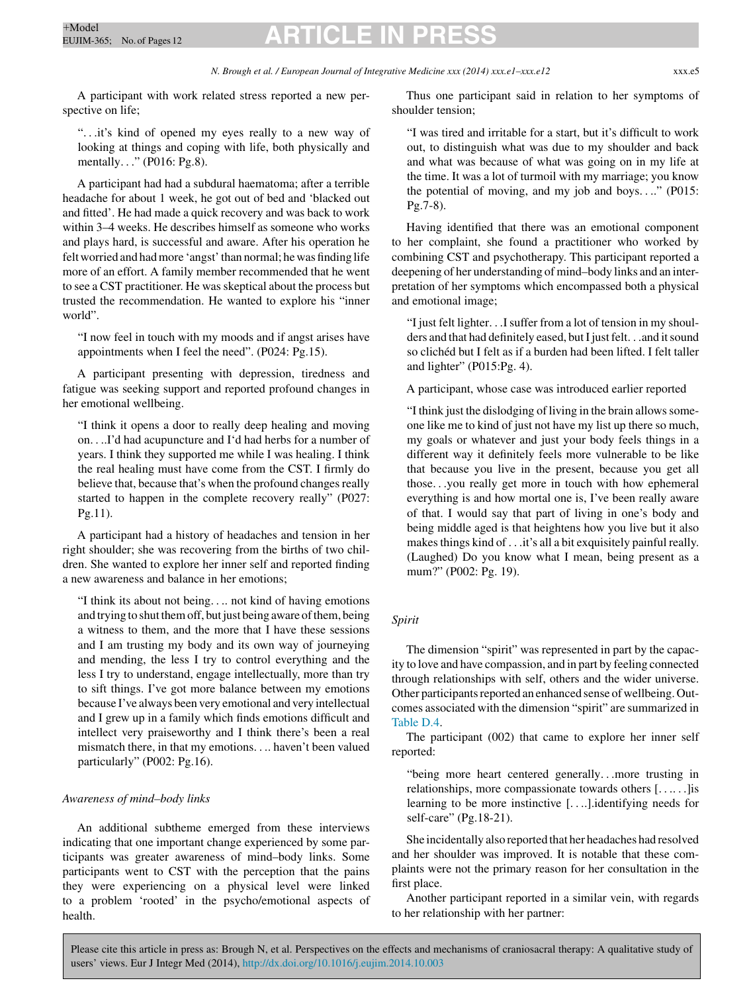### *N. Brough et al. / European Journal of Integrative Medicine xxx (2014) xxx.e1–xxx.e12* xxx.e5

A participant with work related stress reported a new perspective on life;

". . .it's kind of opened my eyes really to a new way of looking at things and coping with life, both physically and mentally..." (P016: Pg.8).

A participant had had a subdural haematoma; after a terrible headache for about 1 week, he got out of bed and 'blacked out and fitted'. He had made a quick recovery and was back to work within 3–4 weeks. He describes himself as someone who works and plays hard, is successful and aware. After his operation he felt worried and had more 'angst' than normal; he was finding life more of an effort. A family member recommended that he went to see a CST practitioner. He was skeptical about the process but trusted the recommendation. He wanted to explore his "inner world".

"I now feel in touch with my moods and if angst arises have appointments when I feel the need". (P024: Pg.15).

A participant presenting with depression, tiredness and fatigue was seeking support and reported profound changes in her emotional wellbeing.

"I think it opens a door to really deep healing and moving on. . ..I'd had acupuncture and I'd had herbs for a number of years. I think they supported me while I was healing. I think the real healing must have come from the CST. I firmly do believe that, because that's when the profound changes really started to happen in the complete recovery really" (P027: Pg.11).

A participant had a history of headaches and tension in her right shoulder; she was recovering from the births of two children. She wanted to explore her inner self and reported finding a new awareness and balance in her emotions;

"I think its about not being. . .. not kind of having emotions and trying to shut them off, but just being aware of them, being a witness to them, and the more that I have these sessions and I am trusting my body and its own way of journeying and mending, the less I try to control everything and the less I try to understand, engage intellectually, more than try to sift things. I've got more balance between my emotions because I've always been very emotional and very intellectual and I grew up in a family which finds emotions difficult and intellect very praiseworthy and I think there's been a real mismatch there, in that my emotions. . .. haven't been valued particularly" (P002: Pg.16).

### *Awareness of mind–body links*

An additional subtheme emerged from these interviews indicating that one important change experienced by some participants was greater awareness of mind–body links. Some participants went to CST with the perception that the pains they were experiencing on a physical level were linked to a problem 'rooted' in the psycho/emotional aspects of health.

Thus one participant said in relation to her symptoms of shoulder tension;

"I was tired and irritable for a start, but it's difficult to work out, to distinguish what was due to my shoulder and back and what was because of what was going on in my life at the time. It was a lot of turmoil with my marriage; you know the potential of moving, and my job and boys. . .." (P015: Pg.7-8).

Having identified that there was an emotional component to her complaint, she found a practitioner who worked by combining CST and psychotherapy. This participant reported a deepening of her understanding of mind–body links and an interpretation of her symptoms which encompassed both a physical and emotional image;

"I just felt lighter. . .Isuffer from a lot of tension in my shoulders and that had definitely eased, but I just felt. . . and it sound so clichéd but I felt as if a burden had been lifted. I felt taller and lighter" (P015:Pg. 4).

A participant, whose case was introduced earlier reported

"I think just the dislodging of living in the brain allowssomeone like me to kind of just not have my list up there so much, my goals or whatever and just your body feels things in a different way it definitely feels more vulnerable to be like that because you live in the present, because you get all those. . .you really get more in touch with how ephemeral everything is and how mortal one is, I've been really aware of that. I would say that part of living in one's body and being middle aged is that heightens how you live but it also makes things kind of . . .it's all a bit exquisitely painful really. (Laughed) Do you know what I mean, being present as a mum?" (P002: Pg. 19).

### *Spirit*

The dimension "spirit" was represented in part by the capacity to love and have compassion, and in part by feeling connected through relationships with self, others and the wider universe. Other participants reported an enhanced sense of wellbeing. Outcomes associated with the dimension "spirit" are summarized in [Table](#page-11-0) D.4.

The participant (002) that came to explore her inner self reported:

"being more heart centered generally. . .more trusting in relationships, more compassionate towards others [. . .. . .]is learning to be more instinctive [. . ..].identifying needs for self-care" (Pg.18-21).

She incidentally also reported that her headaches had resolved and her shoulder was improved. It is notable that these complaints were not the primary reason for her consultation in the first place.

Another participant reported in a similar vein, with regards to her relationship with her partner: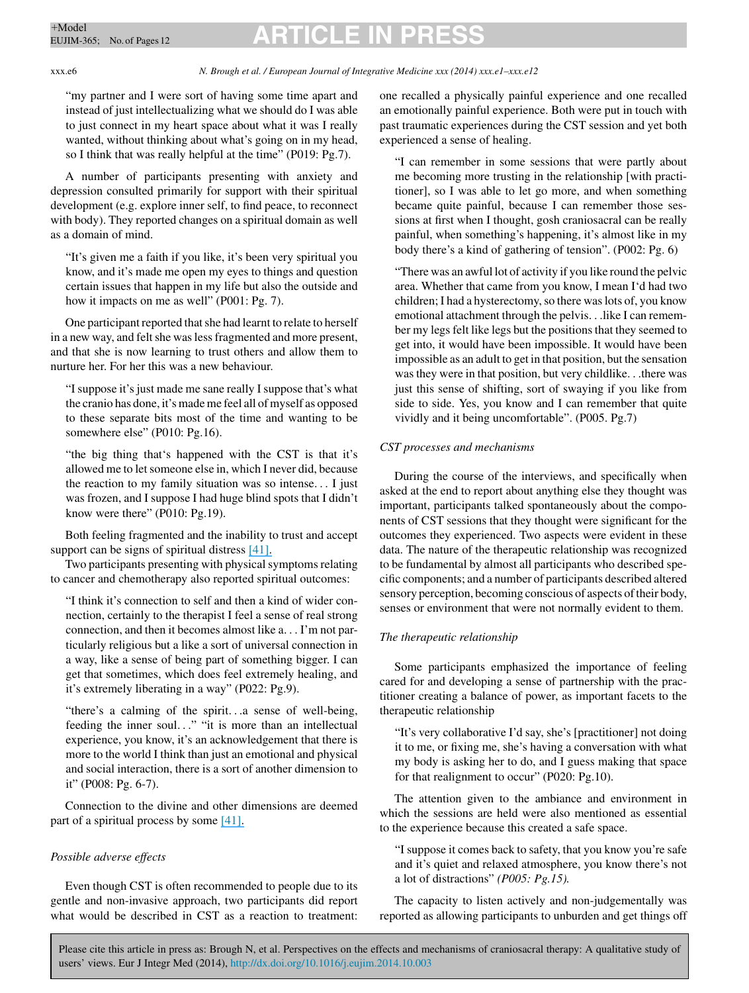### xxx.e6 *N. Brough et al. / European Journal of Integrative Medicine xxx (2014) xxx.e1–xxx.e12*

"my partner and I were sort of having some time apart and instead of just intellectualizing what we should do I was able to just connect in my heart space about what it was I really wanted, without thinking about what's going on in my head, so I think that was really helpful at the time" (P019: Pg.7).

A number of participants presenting with anxiety and depression consulted primarily for support with their spiritual development (e.g. explore inner self, to find peace, to reconnect with body). They reported changes on a spiritual domain as well as a domain of mind.

"It's given me a faith if you like, it's been very spiritual you know, and it's made me open my eyes to things and question certain issues that happen in my life but also the outside and how it impacts on me as well" (P001: Pg. 7).

One participant reported that she had learnt to relate to herself in a new way, and felt she was less fragmented and more present, and that she is now learning to trust others and allow them to nurture her. For her this was a new behaviour.

"I suppose it's just made me sane really I suppose that's what the cranio has done, it's made me feel all of myself as opposed to these separate bits most of the time and wanting to be somewhere else" (P010: Pg.16).

"the big thing that's happened with the CST is that it's allowed me to letsomeone else in, which I never did, because the reaction to my family situation was so intense. . . I just was frozen, and I suppose I had huge blind spots that I didn't know were there" (P010: Pg.19).

Both feeling fragmented and the inability to trust and accept support can be signs of spiritual distress [\[41\].](https://www.researchgate.net/publication/235990448_Recognising_Spiritual_Needs?el=1_x_8&enrichId=rgreq-b1ff20bbe4bdbd958d6c6984d63966f0-XXX&enrichSource=Y292ZXJQYWdlOzI1OTUyNDYwNjtBUzoxNjMwNDY1OTI4ODQ3MzdAMTQxNTg4NDc0NTY0Mg==)

Two participants presenting with physical symptoms relating to cancer and chemotherapy also reported spiritual outcomes:

"I think it's connection to self and then a kind of wider connection, certainly to the therapist I feel a sense of real strong connection, and then it becomes almost like a. . . I'm not particularly religious but a like a sort of universal connection in a way, like a sense of being part of something bigger. I can get that sometimes, which does feel extremely healing, and it's extremely liberating in a way" (P022: Pg.9).

"there's a calming of the spirit. . .a sense of well-being, feeding the inner soul..." "it is more than an intellectual experience, you know, it's an acknowledgement that there is more to the world I think than just an emotional and physical and social interaction, there is a sort of another dimension to it" (P008: Pg. 6-7).

Connection to the divine and other dimensions are deemed part of a spiritual process by some [\[41\].](https://www.researchgate.net/publication/235990448_Recognising_Spiritual_Needs?el=1_x_8&enrichId=rgreq-b1ff20bbe4bdbd958d6c6984d63966f0-XXX&enrichSource=Y292ZXJQYWdlOzI1OTUyNDYwNjtBUzoxNjMwNDY1OTI4ODQ3MzdAMTQxNTg4NDc0NTY0Mg==)

### *Possible adverse effects*

Even though CST is often recommended to people due to its gentle and non-invasive approach, two participants did report what would be described in CST as a reaction to treatment:

one recalled a physically painful experience and one recalled an emotionally painful experience. Both were put in touch with past traumatic experiences during the CST session and yet both experienced a sense of healing.

"I can remember in some sessions that were partly about me becoming more trusting in the relationship [with practitioner], so I was able to let go more, and when something became quite painful, because I can remember those sessions at first when I thought, gosh craniosacral can be really painful, when something's happening, it's almost like in my body there's a kind of gathering of tension". (P002: Pg. 6)

"There was an awful lot of activity if you like round the pelvic area. Whether that came from you know, I mean I'd had two children; I had a hysterectomy, so there was lots of, you know emotional attachment through the pelvis. . .like I can remember my legs felt like legs but the positions that they seemed to get into, it would have been impossible. It would have been impossible as an adult to get in that position, but the sensation was they were in that position, but very childlike. . .there was just this sense of shifting, sort of swaying if you like from side to side. Yes, you know and I can remember that quite vividly and it being uncomfortable". (P005. Pg.7)

### *CST processes and mechanisms*

During the course of the interviews, and specifically when asked at the end to report about anything else they thought was important, participants talked spontaneously about the components of CST sessions that they thought were significant for the outcomes they experienced. Two aspects were evident in these data. The nature of the therapeutic relationship was recognized to be fundamental by almost all participants who described specific components; and a number of participants described altered sensory perception, becoming conscious of aspects of their body, senses or environment that were not normally evident to them.

### *The therapeutic relationship*

Some participants emphasized the importance of feeling cared for and developing a sense of partnership with the practitioner creating a balance of power, as important facets to the therapeutic relationship

"It's very collaborative I'd say, she's [practitioner] not doing it to me, or fixing me, she's having a conversation with what my body is asking her to do, and I guess making that space for that realignment to occur" (P020: Pg.10).

The attention given to the ambiance and environment in which the sessions are held were also mentioned as essential to the experience because this created a safe space.

"I suppose it comes back to safety, that you know you're safe and it's quiet and relaxed atmosphere, you know there's not a lot of distractions" *(P005: Pg.15).*

The capacity to listen actively and non-judgementally was reported as allowing participants to unburden and get things off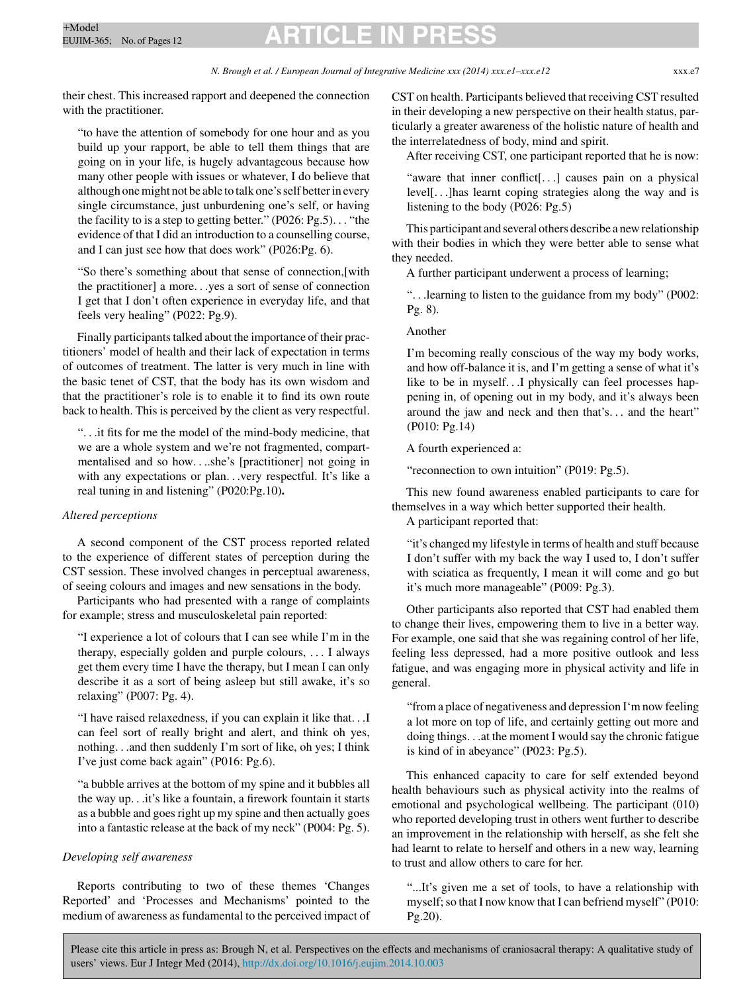their chest. This increased rapport and deepened the connection with the practitioner.

"to have the attention of somebody for one hour and as you build up your rapport, be able to tell them things that are going on in your life, is hugely advantageous because how many other people with issues or whatever, I do believe that although one might not be able to talk one's self better in every single circumstance, just unburdening one's self, or having the facility to is a step to getting better."  $($ P026: Pg.5 $)$ ... "the evidence of that I did an introduction to a counselling course, and I can just see how that does work" (P026:Pg. 6).

"So there's something about that sense of connection,[with the practitioner] a more. . .yes a sort of sense of connection I get that I don't often experience in everyday life, and that feels very healing" (P022: Pg.9).

Finally participants talked about the importance of their practitioners' model of health and their lack of expectation in terms of outcomes of treatment. The latter is very much in line with the basic tenet of CST, that the body has its own wisdom and that the practitioner's role is to enable it to find its own route back to health. This is perceived by the client as very respectful.

". . .it fits for me the model of the mind-body medicine, that we are a whole system and we're not fragmented, compartmentalised and so how. . ..she's [practitioner] not going in with any expectations or plan...very respectful. It's like a real tuning in and listening" (P020:Pg.10)**.**

### *Altered perceptions*

A second component of the CST process reported related to the experience of different states of perception during the CST session. These involved changes in perceptual awareness, of seeing colours and images and new sensations in the body.

Participants who had presented with a range of complaints for example; stress and musculoskeletal pain reported:

"I experience a lot of colours that I can see while I'm in the therapy, especially golden and purple colours, . . . I always get them every time I have the therapy, but I mean I can only describe it as a sort of being asleep but still awake, it's so relaxing" (P007: Pg. 4).

"I have raised relaxedness, if you can explain it like that. . .I can feel sort of really bright and alert, and think oh yes, nothing. . .and then suddenly I'm sort of like, oh yes; I think I've just come back again" (P016: Pg.6).

"a bubble arrives at the bottom of my spine and it bubbles all the way up. . .it's like a fountain, a firework fountain it starts as a bubble and goesright up my spine and then actually goes into a fantastic release at the back of my neck" (P004: Pg. 5).

### *Developing self awareness*

Reports contributing to two of these themes 'Changes Reported' and 'Processes and Mechanisms' pointed to the medium of awareness as fundamental to the perceived impact of CST on health. Participants believed that receiving CST resulted in their developing a new perspective on their health status, particularly a greater awareness of the holistic nature of health and the interrelatedness of body, mind and spirit.

After receiving CST, one participant reported that he is now:

"aware that inner conflict[. . .] causes pain on a physical level[. . .]has learnt coping strategies along the way and is listening to the body (P026: Pg.5)

This participant and several others describe a newrelationship with their bodies in which they were better able to sense what they needed.

A further participant underwent a process of learning;

". . .learning to listen to the guidance from my body" (P002: Pg. 8).

### Another

I'm becoming really conscious of the way my body works, and how off-balance it is, and I'm getting a sense of what it's like to be in myself...I physically can feel processes happening in, of opening out in my body, and it's always been around the jaw and neck and then that's. . . and the heart" (P010: Pg.14)

A fourth experienced a:

"reconnection to own intuition" (P019: Pg.5).

This new found awareness enabled participants to care for themselves in a way which better supported their health.

A participant reported that:

"it's changed my lifestyle in terms of health and stuff because I don't suffer with my back the way I used to, I don't suffer with sciatica as frequently, I mean it will come and go but it's much more manageable" (P009: Pg.3).

Other participants also reported that CST had enabled them to change their lives, empowering them to live in a better way. For example, one said that she was regaining control of her life, feeling less depressed, had a more positive outlook and less fatigue, and was engaging more in physical activity and life in general.

"from a place of negativeness and depression I'm now feeling a lot more on top of life, and certainly getting out more and doing things. . .at the moment I would say the chronic fatigue is kind of in abeyance" (P023: Pg.5).

This enhanced capacity to care for self extended beyond health behaviours such as physical activity into the realms of emotional and psychological wellbeing. The participant (010) who reported developing trust in others went further to describe an improvement in the relationship with herself, as she felt she had learnt to relate to herself and others in a new way, learning to trust and allow others to care for her.

"...It's given me a set of tools, to have a relationship with myself; so that I now know that I can befriend myself" (P010: Pg.20).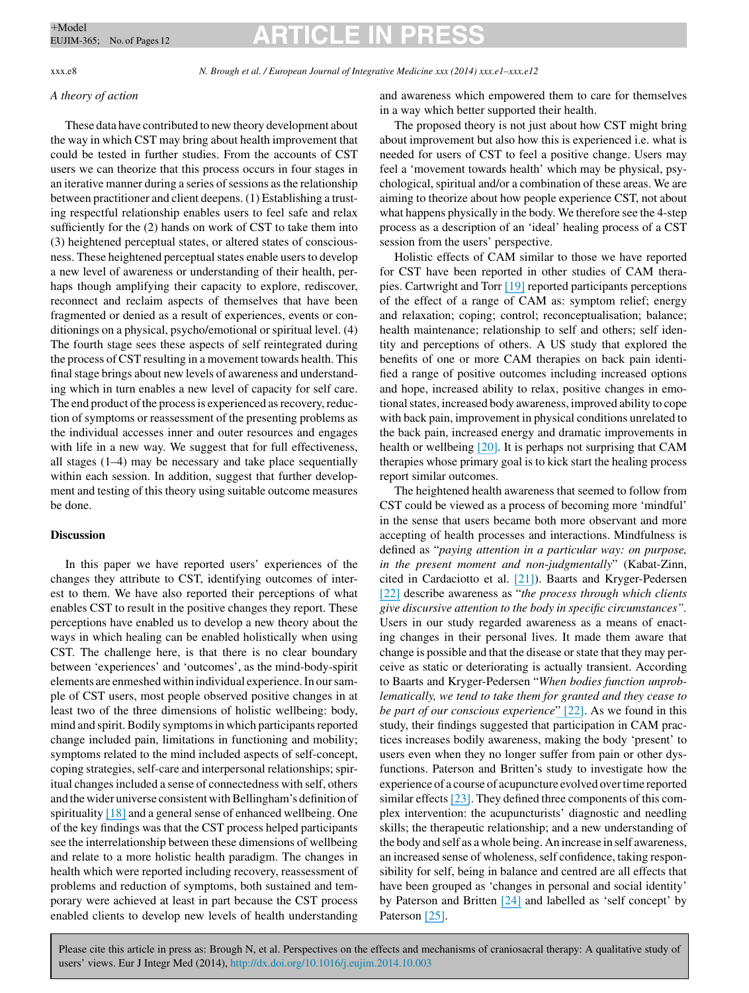### xxx.e8 *N. Brough et al. / European Journal of Integrative Medicine xxx (2014) xxx.e1–xxx.e12*

### *A theory of action*

These data have contributed to new theory development about the way in which CST may bring about health improvement that could be tested in further studies. From the accounts of CST users we can theorize that this process occurs in four stages in an iterative manner during a series of sessions as the relationship between practitioner and client deepens. (1) Establishing a trusting respectful relationship enables users to feel safe and relax sufficiently for the (2) hands on work of CST to take them into (3) heightened perceptual states, or altered states of consciousness. These heightened perceptual states enable users to develop a new level of awareness or understanding of their health, perhaps though amplifying their capacity to explore, rediscover, reconnect and reclaim aspects of themselves that have been fragmented or denied as a result of experiences, events or conditionings on a physical, psycho/emotional or spiritual level. (4) The fourth stage sees these aspects of self reintegrated during the process of CST resulting in a movement towards health. This final stage brings about new levels of awareness and understanding which in turn enables a new level of capacity for self care. The end product of the process is experienced as recovery, reduction of symptoms or reassessment of the presenting problems as the individual accesses inner and outer resources and engages with life in a new way. We suggest that for full effectiveness, all stages (1–4) may be necessary and take place sequentially within each session. In addition, suggest that further development and testing of this theory using suitable outcome measures be done.

### **Discussion**

In this paper we have reported users' experiences of the changes they attribute to CST, identifying outcomes of interest to them. We have also reported their perceptions of what enables CST to result in the positive changes they report. These perceptions have enabled us to develop a new theory about the ways in which healing can be enabled holistically when using CST. The challenge here, is that there is no clear boundary between 'experiences' and 'outcomes', as the mind-body-spirit elements are enmeshed within individual experience.In oursample of CST users, most people observed positive changes in at least two of the three dimensions of holistic wellbeing: body, mind and spirit. Bodily symptoms in which participants reported change included pain, limitations in functioning and mobility; symptoms related to the mind included aspects of self-concept, coping strategies, self-care and interpersonal relationships; spiritual changes included a sense of connectedness with self, others and the wider universe consistent with Bellingham's definition of spirituality  $[18]$  and a general sense of enhanced wellbeing. One of the key findings was that the CST process helped participants see the interrelationship between these dimensions of wellbeing and relate to a more holistic health paradigm. The changes in health which were reported including recovery, reassessment of problems and reduction of symptoms, both sustained and temporary were achieved at least in part because the CST process enabled clients to develop new levels of health understanding

and awareness which empowered them to care for themselves in a way which better supported their health.

The proposed theory is not just about how CST might bring about improvement but also how this is experienced i.e. what is needed for users of CST to feel a positive change. Users may feel a 'movement towards health' which may be physical, psychological, spiritual and/or a combination of these areas. We are aiming to theorize about how people experience CST, not about what happens physically in the body. We therefore see the 4-step process as a description of an 'ideal' healing process of a CST session from the users' perspective.

Holistic effects of CAM similar to those we have reported for CST have been reported in other studies of CAM therapies. Cartwright and Torr [\[19\]](https://www.researchgate.net/publication/7731090_Making_Sense_of_Illness_The_Experiences_of_Users_of_Complementary_Medicine?el=1_x_8&enrichId=rgreq-b1ff20bbe4bdbd958d6c6984d63966f0-XXX&enrichSource=Y292ZXJQYWdlOzI1OTUyNDYwNjtBUzoxNjMwNDY1OTI4ODQ3MzdAMTQxNTg4NDc0NTY0Mg==) reported participants perceptions of the effect of a range of CAM as: symptom relief; energy and relaxation; coping; control; reconceptualisation; balance; health maintenance; relationship to self and others; self identity and perceptions of others. A US study that explored the benefits of one or more CAM therapies on back pain identified a range of positive outcomes including increased options and hope, increased ability to relax, positive changes in emotional states, increased body awareness, improved ability to cope with back pain, improvement in physical conditions unrelated to the back pain, increased energy and dramatic improvements in health or wellbeing [\[20](https://www.researchgate.net/publication/41560990_Unanticipated_Benefits_of_CAM_Therapies_for_Back_Pain_An_Exploration_of_Patient_Experiences?el=1_x_8&enrichId=rgreq-b1ff20bbe4bdbd958d6c6984d63966f0-XXX&enrichSource=Y292ZXJQYWdlOzI1OTUyNDYwNjtBUzoxNjMwNDY1OTI4ODQ3MzdAMTQxNTg4NDc0NTY0Mg==)[\].](#page-11-0) It is perhaps not surprising that CAM therapies whose primary goal is to kick start the healing process report similar outcomes.

The heightened health awareness that seemed to follow from CST could be viewed as a process of becoming more 'mindful' in the sense that users became both more observant and more accepting of health processes and interactions. Mindfulness is defined as "*paying attention in a particular way: on purpose, in the present moment and non*-*judgmentally*" (Kabat-Zinn, cited in Cardaciotto et al. [\[21](https://www.researchgate.net/publication/5664156_The_Assessment_of_Present-Moment_Awareness_and_Acceptance_The_Philadelphia_Mindfulness_Scale?el=1_x_8&enrichId=rgreq-b1ff20bbe4bdbd958d6c6984d63966f0-XXX&enrichSource=Y292ZXJQYWdlOzI1OTUyNDYwNjtBUzoxNjMwNDY1OTI4ODQ3MzdAMTQxNTg4NDc0NTY0Mg==)[\]\).](#page-11-0) Baarts and Kryger-Pedersen [\[22\]](https://www.researchgate.net/publication/24358753_Derivative_benefits_Exploring_the_body_through_complementary_and_alternative_medicine?el=1_x_8&enrichId=rgreq-b1ff20bbe4bdbd958d6c6984d63966f0-XXX&enrichSource=Y292ZXJQYWdlOzI1OTUyNDYwNjtBUzoxNjMwNDY1OTI4ODQ3MzdAMTQxNTg4NDc0NTY0Mg==) describe awareness as "*the process through which clients give discursive attention to the body in specific circumstances".* Users in our study regarded awareness as a means of enacting changes in their personal lives. It made them aware that change is possible and that the disease or state that they may perceive as static or deteriorating is actually transient. According to Baarts and Kryger-Pedersen "*When bodies function unproblematically, we tend to take them for granted and they cease to be part of our conscious experience*" [\[22](https://www.researchgate.net/publication/24358753_Derivative_benefits_Exploring_the_body_through_complementary_and_alternative_medicine?el=1_x_8&enrichId=rgreq-b1ff20bbe4bdbd958d6c6984d63966f0-XXX&enrichSource=Y292ZXJQYWdlOzI1OTUyNDYwNjtBUzoxNjMwNDY1OTI4ODQ3MzdAMTQxNTg4NDc0NTY0Mg==)[\].](#page-11-0) As we found in this study, their findings suggested that participation in CAM practices increases bodily awareness, making the body 'present' to users even when they no longer suffer from pain or other dysfunctions. Paterson and Britten's study to investigate how the experience of a course of acupuncture evolved overtime reported similar effects [\[23](https://www.researchgate.net/publication/8081860_Acupuncture_as_a_Complex_Intervention_A_Holistic_Model?el=1_x_8&enrichId=rgreq-b1ff20bbe4bdbd958d6c6984d63966f0-XXX&enrichSource=Y292ZXJQYWdlOzI1OTUyNDYwNjtBUzoxNjMwNDY1OTI4ODQ3MzdAMTQxNTg4NDc0NTY0Mg==)[\].](#page-11-0) They defined three components of this complex intervention: the acupuncturists' diagnostic and needling skills; the therapeutic relationship; and a new understanding of the body and self as a whole being. An increase in self awareness, an increased sense of wholeness, self confidence, taking responsibility for self, being in balance and centred are all effects that have been grouped as 'changes in personal and social identity' by Paterson and Britten [\[24\]](https://www.researchgate.net/publication/8997578_Acupuncture_for_People_with_Chronic_Illness_Combining_Qualitative_and_Quantitative_Outcome_Assessment?el=1_x_8&enrichId=rgreq-b1ff20bbe4bdbd958d6c6984d63966f0-XXX&enrichSource=Y292ZXJQYWdlOzI1OTUyNDYwNjtBUzoxNjMwNDY1OTI4ODQ3MzdAMTQxNTg4NDc0NTY0Mg==) and labelled as 'self concept' by Paterson [\[25](https://www.researchgate.net/publication/7238400_Measuring_changes_in_self-concept_A_qualitative_evaluation_of_outcome_questionnaires_in_people_having_acupuncture_for_their_chronic_health_problems?el=1_x_8&enrichId=rgreq-b1ff20bbe4bdbd958d6c6984d63966f0-XXX&enrichSource=Y292ZXJQYWdlOzI1OTUyNDYwNjtBUzoxNjMwNDY1OTI4ODQ3MzdAMTQxNTg4NDc0NTY0Mg==)[\].](#page-11-0)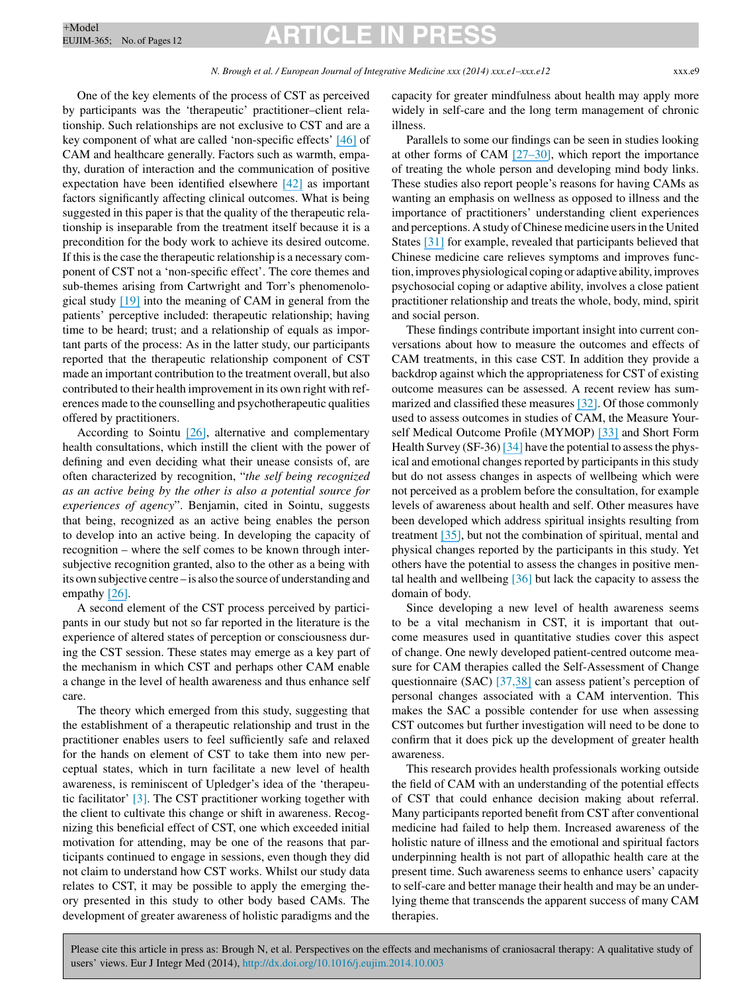### <sup>+Model</sup><br>EUJIM-365: No. of Pages 12 **ARTICLE IN PR**

One of the key elements of the process of CST as perceived by participants was the 'therapeutic' practitioner–client relationship. Such relationships are not exclusive to CST and are a key component of what are called 'non-specific effects' [\[46\]](https://www.researchgate.net/publication/9141851_The_Placebo_Effect_in_the_History_of_Medical_Treatment?el=1_x_8&enrichId=rgreq-b1ff20bbe4bdbd958d6c6984d63966f0-XXX&enrichSource=Y292ZXJQYWdlOzI1OTUyNDYwNjtBUzoxNjMwNDY1OTI4ODQ3MzdAMTQxNTg4NDc0NTY0Mg==) of CAM and healthcare generally. Factors such as warmth, empathy, duration of interaction and the communication of positive expectation have been identified elsewhere [\[42\]](https://www.researchgate.net/publication/288023360_Component_of_placebo_effect_randomized_controlled_trial_in_patients_with_irritable_bowel_syndrome?el=1_x_8&enrichId=rgreq-b1ff20bbe4bdbd958d6c6984d63966f0-XXX&enrichSource=Y292ZXJQYWdlOzI1OTUyNDYwNjtBUzoxNjMwNDY1OTI4ODQ3MzdAMTQxNTg4NDc0NTY0Mg==) as important factors significantly affecting clinical outcomes. What is being suggested in this paper is that the quality of the therapeutic relationship is inseparable from the treatment itself because it is a precondition for the body work to achieve its desired outcome. If this is the case the therapeutic relationship is a necessary component of CST not a 'non-specific effect'. The core themes and sub-themes arising from Cartwright and Torr's phenomenological study [\[19\]](https://www.researchgate.net/publication/7731090_Making_Sense_of_Illness_The_Experiences_of_Users_of_Complementary_Medicine?el=1_x_8&enrichId=rgreq-b1ff20bbe4bdbd958d6c6984d63966f0-XXX&enrichSource=Y292ZXJQYWdlOzI1OTUyNDYwNjtBUzoxNjMwNDY1OTI4ODQ3MzdAMTQxNTg4NDc0NTY0Mg==) into the meaning of CAM in general from the patients' perceptive included: therapeutic relationship; having time to be heard; trust; and a relationship of equals as important parts of the process: As in the latter study, our participants reported that the therapeutic relationship component of CST made an important contribution to the treatment overall, but also contributed to their health improvement in its own right with references made to the counselling and psychotherapeutic qualities offered by practitioners.

According to Sointu [\[26](https://www.researchgate.net/publication/249825918_Recognition_and_the_Creation_of_Wellbeing?el=1_x_8&enrichId=rgreq-b1ff20bbe4bdbd958d6c6984d63966f0-XXX&enrichSource=Y292ZXJQYWdlOzI1OTUyNDYwNjtBUzoxNjMwNDY1OTI4ODQ3MzdAMTQxNTg4NDc0NTY0Mg==)[\],](#page-11-0) alternative and complementary health consultations, which instill the client with the power of defining and even deciding what their unease consists of, are often characterized by recognition, "*the self being recognized as an active being by the other is also a potential source for experiences of agency*". Benjamin, cited in Sointu, suggests that being, recognized as an active being enables the person to develop into an active being. In developing the capacity of recognition – where the self comes to be known through intersubjective recognition granted, also to the other as a being with its own subjective centre – is also the source of understanding and empathy [\[26](https://www.researchgate.net/publication/249825918_Recognition_and_the_Creation_of_Wellbeing?el=1_x_8&enrichId=rgreq-b1ff20bbe4bdbd958d6c6984d63966f0-XXX&enrichSource=Y292ZXJQYWdlOzI1OTUyNDYwNjtBUzoxNjMwNDY1OTI4ODQ3MzdAMTQxNTg4NDc0NTY0Mg==)[\].](#page-11-0)

A second element of the CST process perceived by participants in our study but not so far reported in the literature is the experience of altered states of perception or consciousness during the CST session. These states may emerge as a key part of the mechanism in which CST and perhaps other CAM enable a change in the level of health awareness and thus enhance self care.

The theory which emerged from this study, suggesting that the establishment of a therapeutic relationship and trust in the practitioner enables users to feel sufficiently safe and relaxed for the hands on element of CST to take them into new perceptual states, which in turn facilitate a new level of health awareness, is reminiscent of Upledger's idea of the 'therapeutic facilitator' [\[3\].](#page-11-0) The CST practitioner working together with the client to cultivate this change or shift in awareness. Recognizing this beneficial effect of CST, one which exceeded initial motivation for attending, may be one of the reasons that participants continued to engage in sessions, even though they did not claim to understand how CST works. Whilst our study data relates to CST, it may be possible to apply the emerging theory presented in this study to other body based CAMs. The development of greater awareness of holistic paradigms and the capacity for greater mindfulness about health may apply more widely in self-care and the long term management of chronic illness.

Parallels to some our findings can be seen in studies looking at other forms of CAM [\[27](https://www.researchgate.net/publication/234822961_Integrative_medicine_outcomes_What_should_we_measure?el=1_x_8&enrichId=rgreq-b1ff20bbe4bdbd958d6c6984d63966f0-XXX&enrichSource=Y292ZXJQYWdlOzI1OTUyNDYwNjtBUzoxNjMwNDY1OTI4ODQ3MzdAMTQxNTg4NDc0NTY0Mg==)[–](#page-11-0)[30](https://www.researchgate.net/publication/12230120_)[\],](#page-11-0) which report the importance of treating the whole person and developing mind body links. These studies also report people's reasons for having CAMs as wanting an emphasis on wellness as opposed to illness and the importance of practitioners' understanding client experiences and perceptions. A study of Chinese medicine users in the United States [\[31\]](https://www.researchgate.net/publication/13656741_Chinese_Medicine_Users_in_the_United_States_Part_II_Preferred_Aspects_of_Care?el=1_x_8&enrichId=rgreq-b1ff20bbe4bdbd958d6c6984d63966f0-XXX&enrichSource=Y292ZXJQYWdlOzI1OTUyNDYwNjtBUzoxNjMwNDY1OTI4ODQ3MzdAMTQxNTg4NDc0NTY0Mg==) for example, revealed that participants believed that Chinese medicine care relieves symptoms and improves function, improves physiological coping or adaptive ability, improves psychosocial coping or adaptive ability, involves a close patient practitioner relationship and treats the whole, body, mind, spirit and social person.

These findings contribute important insight into current conversations about how to measure the outcomes and effects of CAM treatments, in this case CST. In addition they provide a backdrop against which the appropriateness for CST of existing outcome measures can be assessed. A recent review has summarized and classified these measures [\[32](https://www.researchgate.net/publication/257710142_Patient_questionnaires_for_use_in_the_integrative_medicine_primary_care_setting-A_systematic_literature_review?el=1_x_8&enrichId=rgreq-b1ff20bbe4bdbd958d6c6984d63966f0-XXX&enrichSource=Y292ZXJQYWdlOzI1OTUyNDYwNjtBUzoxNjMwNDY1OTI4ODQ3MzdAMTQxNTg4NDc0NTY0Mg==)[\].](#page-12-0) Of those commonly used to assess outcomes in studies of CAM, the Measure Yourself Medical Outcome Profile (MYMOP) [\[33\]](https://www.researchgate.net/publication/14584909_Measuring_Outcomes_in_Primary_Care_A_Patient_Generated_Measure_MYMOP_Compared_With_the_SF-36_Health_Survey?el=1_x_8&enrichId=rgreq-b1ff20bbe4bdbd958d6c6984d63966f0-XXX&enrichSource=Y292ZXJQYWdlOzI1OTUyNDYwNjtBUzoxNjMwNDY1OTI4ODQ3MzdAMTQxNTg4NDc0NTY0Mg==) and Short Form Health Survey (SF-36)  $\left[34\right]$  have the potential to assess the physical and emotional changes reported by participants in this study but do not assess changes in aspects of wellbeing which were not perceived as a problem before the consultation, for example levels of awareness about health and self. Other measures have been developed which address spiritual insights resulting from treatment [\[35](https://www.researchgate.net/publication/45821432_The_Development_and_Validation_of_an_Outcome_Measure_for_Spiritual_Healing_A_Mixed_Methods_Study?el=1_x_8&enrichId=rgreq-b1ff20bbe4bdbd958d6c6984d63966f0-XXX&enrichSource=Y292ZXJQYWdlOzI1OTUyNDYwNjtBUzoxNjMwNDY1OTI4ODQ3MzdAMTQxNTg4NDc0NTY0Mg==)[\],](#page-12-0) but not the combination of spiritual, mental and physical changes reported by the participants in this study. Yet others have the potential to assess the changes in positive mental health and wellbeing [\[36\]](#page-12-0) but lack the capacity to assess the domain of body.

Since developing a new level of health awareness seems to be a vital mechanism in CST, it is important that outcome measures used in quantitative studies cover this aspect of change. One newly developed patient-centred outcome measure for CAM therapies called the Self-Assessment of Change questionnaire (SAC) [\[37,](#page-12-0)[38\]](https://www.researchgate.net/publication/51970483_Developing_a_Patient-Centered_Outcome_Measure_for_Complementary_and_Alternative_Medicine_Therapies_II_Refining_Content_Validity_through_Cognitive_Interviews?el=1_x_8&enrichId=rgreq-b1ff20bbe4bdbd958d6c6984d63966f0-XXX&enrichSource=Y292ZXJQYWdlOzI1OTUyNDYwNjtBUzoxNjMwNDY1OTI4ODQ3MzdAMTQxNTg4NDc0NTY0Mg==) can assess patient's perception of personal changes associated with a CAM intervention. This makes the SAC a possible contender for use when assessing CST outcomes but further investigation will need to be done to confirm that it does pick up the development of greater health awareness.

This research provides health professionals working outside the field of CAM with an understanding of the potential effects of CST that could enhance decision making about referral. Many participants reported benefit from CST after conventional medicine had failed to help them. Increased awareness of the holistic nature of illness and the emotional and spiritual factors underpinning health is not part of allopathic health care at the present time. Such awareness seems to enhance users' capacity to self-care and better manage their health and may be an underlying theme that transcends the apparent success of many CAM therapies.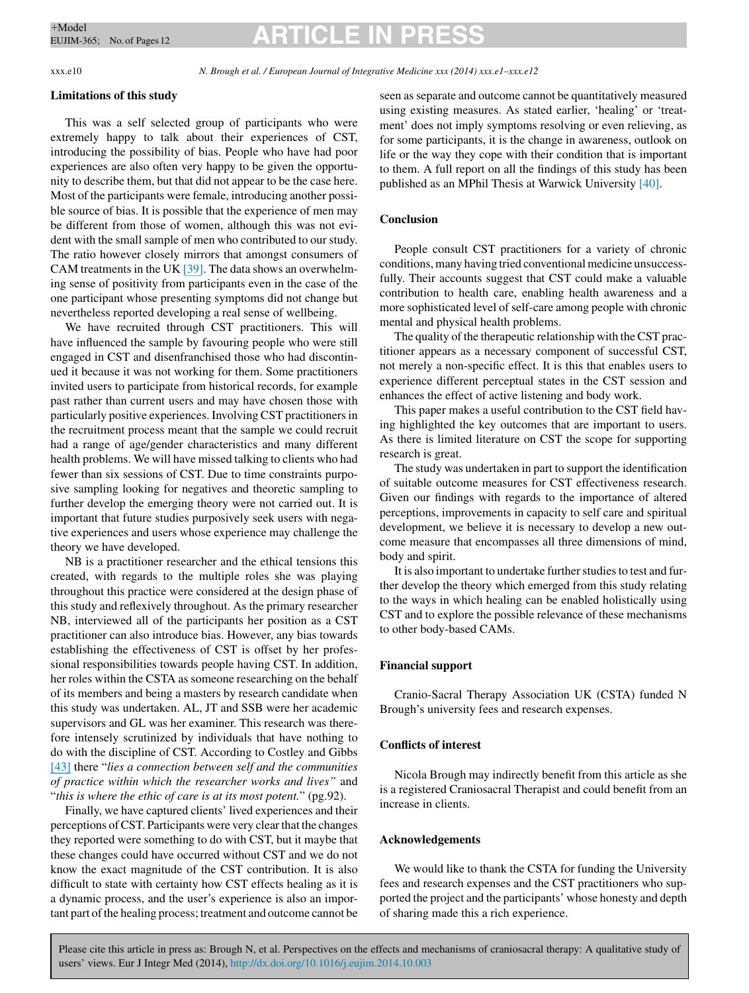### xxx.e10 *N. Brough et al. / European Journal of Integrative Medicine xxx (2014) xxx.e1–xxx.e12*

### **Limitations of this study**

This was a self selected group of participants who were extremely happy to talk about their experiences of CST, introducing the possibility of bias. People who have had poor experiences are also often very happy to be given the opportunity to describe them, but that did not appear to be the case here. Most of the participants were female, introducing another possible source of bias. It is possible that the experience of men may be different from those of women, although this was not evident with the small sample of men who contributed to our study. The ratio however closely mirrors that amongst consumers of CAM treatments in the UK [\[39](https://www.researchgate.net/publication/45602954_Complementary_and_alternative_medicine_use_in_England_Results_from_a_national_survey?el=1_x_8&enrichId=rgreq-b1ff20bbe4bdbd958d6c6984d63966f0-XXX&enrichSource=Y292ZXJQYWdlOzI1OTUyNDYwNjtBUzoxNjMwNDY1OTI4ODQ3MzdAMTQxNTg4NDc0NTY0Mg==)[\].](#page-12-0) The data shows an overwhelming sense of positivity from participants even in the case of the one participant whose presenting symptoms did not change but nevertheless reported developing a real sense of wellbeing.

We have recruited through CST practitioners. This will have influenced the sample by favouring people who were still engaged in CST and disenfranchised those who had discontinued it because it was not working for them. Some practitioners invited users to participate from historical records, for example past rather than current users and may have chosen those with particularly positive experiences. Involving CST practitionersin the recruitment process meant that the sample we could recruit had a range of age/gender characteristics and many different health problems. We will have missed talking to clients who had fewer than six sessions of CST. Due to time constraints purposive sampling looking for negatives and theoretic sampling to further develop the emerging theory were not carried out. It is important that future studies purposively seek users with negative experiences and users whose experience may challenge the theory we have developed.

NB is a practitioner researcher and the ethical tensions this created, with regards to the multiple roles she was playing throughout this practice were considered at the design phase of this study and reflexively throughout. As the primary researcher NB, interviewed all of the participants her position as a CST practitioner can also introduce bias. However, any bias towards establishing the effectiveness of CST is offset by her professional responsibilities towards people having CST. In addition, her roles within the CSTA as someone researching on the behalf of its members and being a masters by research candidate when this study was undertaken. AL, JT and SSB were her academic supervisors and GL was her examiner. This research was therefore intensely scrutinized by individuals that have nothing to do with the discipline of CST. According to Costley and Gibbs [\[43\]](https://www.researchgate.net/publication/238397782_Researching_others_Care_as_an_ethic_for_practitioner_researchers?el=1_x_8&enrichId=rgreq-b1ff20bbe4bdbd958d6c6984d63966f0-XXX&enrichSource=Y292ZXJQYWdlOzI1OTUyNDYwNjtBUzoxNjMwNDY1OTI4ODQ3MzdAMTQxNTg4NDc0NTY0Mg==) there "*lies a connection between self and the communities of practice within which the researcher works and lives"* and "*this is where the ethic of care is at its most potent.*" (pg.92).

Finally, we have captured clients' lived experiences and their perceptions of CST. Participants were very clear that the changes they reported were something to do with CST, but it maybe that these changes could have occurred without CST and we do not know the exact magnitude of the CST contribution. It is also difficult to state with certainty how CST effects healing as it is a dynamic process, and the user's experience is also an important part of the healing process; treatment and outcome cannot be

seen asseparate and outcome cannot be quantitatively measured using existing measures. As stated earlier, 'healing' or 'treatment' does not imply symptoms resolving or even relieving, as for some participants, it is the change in awareness, outlook on life or the way they cope with their condition that is important to them. A full report on all the findings of this study has been published as an MPhil Thesis at Warwick University [\[40\].](#page-12-0)

### **Conclusion**

People consult CST practitioners for a variety of chronic conditions, many having tried conventional medicine unsuccessfully. Their accounts suggest that CST could make a valuable contribution to health care, enabling health awareness and a more sophisticated level of self-care among people with chronic mental and physical health problems.

The quality of the therapeutic relationship with the CST practitioner appears as a necessary component of successful CST, not merely a non-specific effect. It is this that enables users to experience different perceptual states in the CST session and enhances the effect of active listening and body work.

This paper makes a useful contribution to the CST field having highlighted the key outcomes that are important to users. As there is limited literature on CST the scope for supporting research is great.

The study was undertaken in part to support the identification of suitable outcome measures for CST effectiveness research. Given our findings with regards to the importance of altered perceptions, improvements in capacity to self care and spiritual development, we believe it is necessary to develop a new outcome measure that encompasses all three dimensions of mind, body and spirit.

It is also important to undertake further studies to test and further develop the theory which emerged from this study relating to the ways in which healing can be enabled holistically using CST and to explore the possible relevance of these mechanisms to other body-based CAMs.

### **Financial support**

Cranio-Sacral Therapy Association UK (CSTA) funded N Brough's university fees and research expenses.

### **Conflicts of interest**

Nicola Brough may indirectly benefit from this article as she is a registered Craniosacral Therapist and could benefit from an increase in clients.

### **Acknowledgements**

We would like to thank the CSTA for funding the University fees and research expenses and the CST practitioners who supported the project and the participants' whose honesty and depth of sharing made this a rich experience.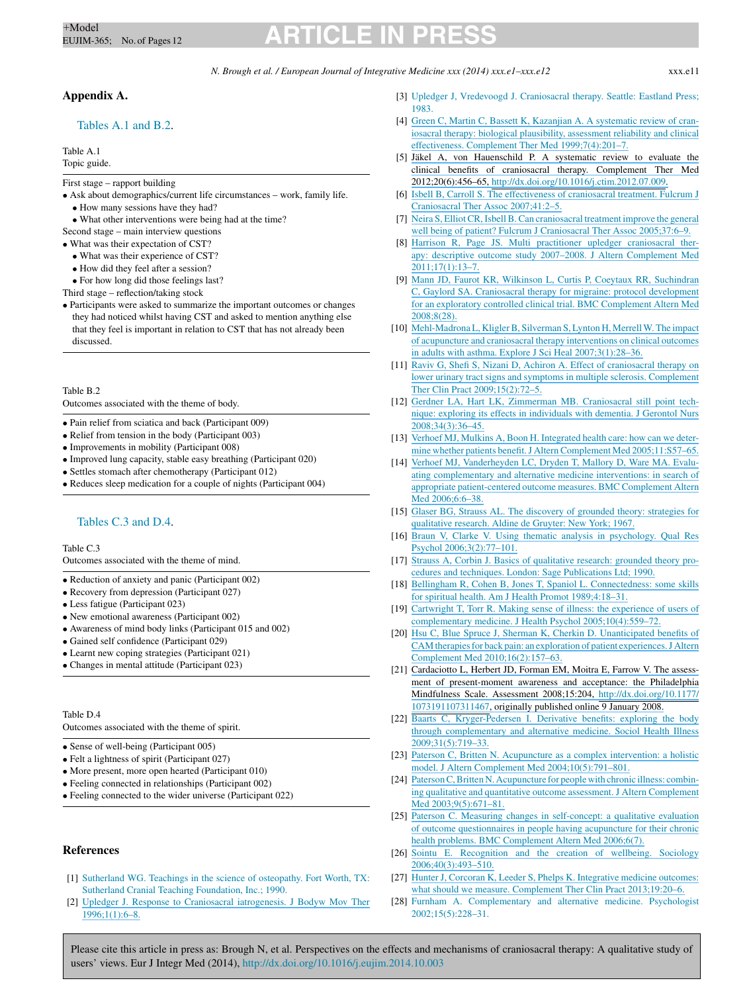### *N. Brough et al. / European Journal of Integrative Medicine xxx (2014) xxx.e1–xxx.e12* xxx.e11

### <span id="page-11-0"></span>**Appendix A.**

### Tables A.1 and B.2.

#### Table A.1 Topic guide.

First stage – rapport building

- Ask about demographics/current life circumstances work, family life. • How many sessions have they had?
	- What other interventions were being had at the time?

Second stage – main interview questions

- What was their expectation of CST?
	- What was their experience of CST?
	- How did they feel after a session?
	- For how long did those feelings last?

Third stage – reflection/taking stock

• Participants were asked to summarize the important outcomes or changes they had noticed whilst having CST and asked to mention anything else that they feel is important in relation to CST that has not already been discussed.

Table B.2

Outcomes associated with the theme of body.

- Pain relief from sciatica and back (Participant 009)
- Relief from tension in the body (Participant 003)
- Improvements in mobility (Participant 008)
- Improved lung capacity, stable easy breathing (Participant 020)
- Settles stomach after chemotherapy (Participant 012)
- Reduces sleep medication for a couple of nights (Participant 004)

### Tables C.3 and D.4.

Table C.3

Outcomes associated with the theme of mind.

- Reduction of anxiety and panic (Participant 002)
- Recovery from depression (Participant 027)
- Less fatigue (Participant 023)
- New emotional awareness (Participant 002)
- Awareness of mind body links (Participant 015 and 002)
- Gained self confidence (Participant 029)
- Learnt new coping strategies (Participant 021)
- Changes in mental attitude (Participant 023)

#### Table D.4

Outcomes associated with the theme of spirit.

- Sense of well-being (Participant 005)
- Felt a lightness of spirit (Participant 027)
- More present, more open hearted (Participant 010)
- Feeling connected in relationships (Participant 002)
- Feeling connected to the wider universe (Participant 022)

### **References**

- [1] [Sutherland](http://refhub.elsevier.com/S1876-3820(14)00306-0/sbref0005) [WG.](http://refhub.elsevier.com/S1876-3820(14)00306-0/sbref0005) [Teachings](http://refhub.elsevier.com/S1876-3820(14)00306-0/sbref0005) [in](http://refhub.elsevier.com/S1876-3820(14)00306-0/sbref0005) [the](http://refhub.elsevier.com/S1876-3820(14)00306-0/sbref0005) [science](http://refhub.elsevier.com/S1876-3820(14)00306-0/sbref0005) [of](http://refhub.elsevier.com/S1876-3820(14)00306-0/sbref0005) [osteopathy.](http://refhub.elsevier.com/S1876-3820(14)00306-0/sbref0005) [Fort](http://refhub.elsevier.com/S1876-3820(14)00306-0/sbref0005) [Worth,](http://refhub.elsevier.com/S1876-3820(14)00306-0/sbref0005) [TX:](http://refhub.elsevier.com/S1876-3820(14)00306-0/sbref0005) [Sutherland](http://refhub.elsevier.com/S1876-3820(14)00306-0/sbref0005) [Cranial](http://refhub.elsevier.com/S1876-3820(14)00306-0/sbref0005) [Teaching](http://refhub.elsevier.com/S1876-3820(14)00306-0/sbref0005) [Foundation,](http://refhub.elsevier.com/S1876-3820(14)00306-0/sbref0005) [Inc.;](http://refhub.elsevier.com/S1876-3820(14)00306-0/sbref0005) [1990.](http://refhub.elsevier.com/S1876-3820(14)00306-0/sbref0005)
- [2] [Upledger](http://refhub.elsevier.com/S1876-3820(14)00306-0/sbref0010) [J.](http://refhub.elsevier.com/S1876-3820(14)00306-0/sbref0010) [Response](http://refhub.elsevier.com/S1876-3820(14)00306-0/sbref0010) [to](http://refhub.elsevier.com/S1876-3820(14)00306-0/sbref0010) [Craniosacral](https://www.researchgate.net/publication/244877593_Response_to_Craniosacral_iatrogenesis?el=1_x_8&enrichId=rgreq-b1ff20bbe4bdbd958d6c6984d63966f0-XXX&enrichSource=Y292ZXJQYWdlOzI1OTUyNDYwNjtBUzoxNjMwNDY1OTI4ODQ3MzdAMTQxNTg4NDc0NTY0Mg==) [iatrogenesis.](http://refhub.elsevier.com/S1876-3820(14)00306-0/sbref0010) [J](http://refhub.elsevier.com/S1876-3820(14)00306-0/sbref0010) [Bodyw](http://refhub.elsevier.com/S1876-3820(14)00306-0/sbref0010) [Mov](http://refhub.elsevier.com/S1876-3820(14)00306-0/sbref0010) [Ther](http://refhub.elsevier.com/S1876-3820(14)00306-0/sbref0010) [1](https://www.researchgate.net/publication/244877593_Response_to_Craniosacral_iatrogenesis?el=1_x_8&enrichId=rgreq-b1ff20bbe4bdbd958d6c6984d63966f0-XXX&enrichSource=Y292ZXJQYWdlOzI1OTUyNDYwNjtBUzoxNjMwNDY1OTI4ODQ3MzdAMTQxNTg4NDc0NTY0Mg==)[996;1\(1\):](http://refhub.elsevier.com/S1876-3820(14)00306-0/sbref0010)[6–8.](https://www.researchgate.net/publication/244877593_Response_to_Craniosacral_iatrogenesis?el=1_x_8&enrichId=rgreq-b1ff20bbe4bdbd958d6c6984d63966f0-XXX&enrichSource=Y292ZXJQYWdlOzI1OTUyNDYwNjtBUzoxNjMwNDY1OTI4ODQ3MzdAMTQxNTg4NDc0NTY0Mg==)
- [3] [Upledger](http://refhub.elsevier.com/S1876-3820(14)00306-0/sbref0015) [J,](http://refhub.elsevier.com/S1876-3820(14)00306-0/sbref0015) [Vredevoogd](http://refhub.elsevier.com/S1876-3820(14)00306-0/sbref0015) [J.](http://refhub.elsevier.com/S1876-3820(14)00306-0/sbref0015) [Craniosacral](http://refhub.elsevier.com/S1876-3820(14)00306-0/sbref0015) [therapy.](http://refhub.elsevier.com/S1876-3820(14)00306-0/sbref0015) [Seattle:](http://refhub.elsevier.com/S1876-3820(14)00306-0/sbref0015) [Eastland](http://refhub.elsevier.com/S1876-3820(14)00306-0/sbref0015) [Press;](http://refhub.elsevier.com/S1876-3820(14)00306-0/sbref0015) [1983.](http://refhub.elsevier.com/S1876-3820(14)00306-0/sbref0015)
- [4] [Green](http://refhub.elsevier.com/S1876-3820(14)00306-0/sbref0020) [C,](http://refhub.elsevier.com/S1876-3820(14)00306-0/sbref0020) [Martin](http://refhub.elsevier.com/S1876-3820(14)00306-0/sbref0020) [C,](http://refhub.elsevier.com/S1876-3820(14)00306-0/sbref0020) [Bassett](http://refhub.elsevier.com/S1876-3820(14)00306-0/sbref0020) [K,](http://refhub.elsevier.com/S1876-3820(14)00306-0/sbref0020) [Kazanjian](http://refhub.elsevier.com/S1876-3820(14)00306-0/sbref0020) [A.](http://refhub.elsevier.com/S1876-3820(14)00306-0/sbref0020) [A](http://refhub.elsevier.com/S1876-3820(14)00306-0/sbref0020) [systematic](https://www.researchgate.net/publication/12607045_A_systematic_review_of_craniosacral_therapy_Biological_plausibility_assessment_reliability_and_clinical_effectiveness?el=1_x_8&enrichId=rgreq-b1ff20bbe4bdbd958d6c6984d63966f0-XXX&enrichSource=Y292ZXJQYWdlOzI1OTUyNDYwNjtBUzoxNjMwNDY1OTI4ODQ3MzdAMTQxNTg4NDc0NTY0Mg==) [review](http://refhub.elsevier.com/S1876-3820(14)00306-0/sbref0020) [of](http://refhub.elsevier.com/S1876-3820(14)00306-0/sbref0020) [cran](http://refhub.elsevier.com/S1876-3820(14)00306-0/sbref0020)[iosacral](http://refhub.elsevier.com/S1876-3820(14)00306-0/sbref0020) [therapy:](http://refhub.elsevier.com/S1876-3820(14)00306-0/sbref0020) [biological](http://refhub.elsevier.com/S1876-3820(14)00306-0/sbref0020) [plausibility,](https://www.researchgate.net/publication/12607045_A_systematic_review_of_craniosacral_therapy_Biological_plausibility_assessment_reliability_and_clinical_effectiveness?el=1_x_8&enrichId=rgreq-b1ff20bbe4bdbd958d6c6984d63966f0-XXX&enrichSource=Y292ZXJQYWdlOzI1OTUyNDYwNjtBUzoxNjMwNDY1OTI4ODQ3MzdAMTQxNTg4NDc0NTY0Mg==) [assessment](http://refhub.elsevier.com/S1876-3820(14)00306-0/sbref0020) [reliability](http://refhub.elsevier.com/S1876-3820(14)00306-0/sbref0020) [and](http://refhub.elsevier.com/S1876-3820(14)00306-0/sbref0020) [clinical](http://refhub.elsevier.com/S1876-3820(14)00306-0/sbref0020) [effectiveness.](http://refhub.elsevier.com/S1876-3820(14)00306-0/sbref0020) [Complement](http://refhub.elsevier.com/S1876-3820(14)00306-0/sbref0020) [Ther](http://refhub.elsevier.com/S1876-3820(14)00306-0/sbref0020) [Med](http://refhub.elsevier.com/S1876-3820(14)00306-0/sbref0020) [1999;7\(4\):201–7.](https://www.researchgate.net/publication/12607045_A_systematic_review_of_craniosacral_therapy_Biological_plausibility_assessment_reliability_and_clinical_effectiveness?el=1_x_8&enrichId=rgreq-b1ff20bbe4bdbd958d6c6984d63966f0-XXX&enrichSource=Y292ZXJQYWdlOzI1OTUyNDYwNjtBUzoxNjMwNDY1OTI4ODQ3MzdAMTQxNTg4NDc0NTY0Mg==)
- [5] Jäkel A, von [Hauenschild](https://www.researchgate.net/publication/232963223_A_systematic_review_to_evaluate_the_clinical_benefits_of_craniosacral_therapy?el=1_x_8&enrichId=rgreq-b1ff20bbe4bdbd958d6c6984d63966f0-XXX&enrichSource=Y292ZXJQYWdlOzI1OTUyNDYwNjtBUzoxNjMwNDY1OTI4ODQ3MzdAMTQxNTg4NDc0NTY0Mg==) P. A systematic review to evaluate the clinical benefits of craniosacral therapy. [Complement](https://www.researchgate.net/publication/232963223_A_systematic_review_to_evaluate_the_clinical_benefits_of_craniosacral_therapy?el=1_x_8&enrichId=rgreq-b1ff20bbe4bdbd958d6c6984d63966f0-XXX&enrichSource=Y292ZXJQYWdlOzI1OTUyNDYwNjtBUzoxNjMwNDY1OTI4ODQ3MzdAMTQxNTg4NDc0NTY0Mg==) Ther Med 2012;20(6):456–65, [http://dx.doi.org/10.1016/j.ctim.2012.07.009.](https://www.researchgate.net/publication/232963223_A_systematic_review_to_evaluate_the_clinical_benefits_of_craniosacral_therapy?el=1_x_8&enrichId=rgreq-b1ff20bbe4bdbd958d6c6984d63966f0-XXX&enrichSource=Y292ZXJQYWdlOzI1OTUyNDYwNjtBUzoxNjMwNDY1OTI4ODQ3MzdAMTQxNTg4NDc0NTY0Mg==)
- [6] [Isbell](http://refhub.elsevier.com/S1876-3820(14)00306-0/sbref0030) [B,](http://refhub.elsevier.com/S1876-3820(14)00306-0/sbref0030) [Carroll](http://refhub.elsevier.com/S1876-3820(14)00306-0/sbref0030) [S.](http://refhub.elsevier.com/S1876-3820(14)00306-0/sbref0030) [The](http://refhub.elsevier.com/S1876-3820(14)00306-0/sbref0030) [effectiveness](https://www.researchgate.net/publication/237381404_The_effectiveness_of_craniosacral_treatment?el=1_x_8&enrichId=rgreq-b1ff20bbe4bdbd958d6c6984d63966f0-XXX&enrichSource=Y292ZXJQYWdlOzI1OTUyNDYwNjtBUzoxNjMwNDY1OTI4ODQ3MzdAMTQxNTg4NDc0NTY0Mg==) [of](http://refhub.elsevier.com/S1876-3820(14)00306-0/sbref0030) [craniosacral](http://refhub.elsevier.com/S1876-3820(14)00306-0/sbref0030) [treatment.](http://refhub.elsevier.com/S1876-3820(14)00306-0/sbref0030) [Fulcrum](http://refhub.elsevier.com/S1876-3820(14)00306-0/sbref0030) [J](http://refhub.elsevier.com/S1876-3820(14)00306-0/sbref0030) [Craniosacral](http://refhub.elsevier.com/S1876-3820(14)00306-0/sbref0030) [Ther](http://refhub.elsevier.com/S1876-3820(14)00306-0/sbref0030) [Assoc](http://refhub.elsevier.com/S1876-3820(14)00306-0/sbref0030) [2](https://www.researchgate.net/publication/237381404_The_effectiveness_of_craniosacral_treatment?el=1_x_8&enrichId=rgreq-b1ff20bbe4bdbd958d6c6984d63966f0-XXX&enrichSource=Y292ZXJQYWdlOzI1OTUyNDYwNjtBUzoxNjMwNDY1OTI4ODQ3MzdAMTQxNTg4NDc0NTY0Mg==)[007;41:2](http://refhub.elsevier.com/S1876-3820(14)00306-0/sbref0030)[–5.](https://www.researchgate.net/publication/237381404_The_effectiveness_of_craniosacral_treatment?el=1_x_8&enrichId=rgreq-b1ff20bbe4bdbd958d6c6984d63966f0-XXX&enrichSource=Y292ZXJQYWdlOzI1OTUyNDYwNjtBUzoxNjMwNDY1OTI4ODQ3MzdAMTQxNTg4NDc0NTY0Mg==)
- [7] [Neira](http://refhub.elsevier.com/S1876-3820(14)00306-0/sbref0035) [S,](http://refhub.elsevier.com/S1876-3820(14)00306-0/sbref0035) Elliot C[R](http://refhub.elsevier.com/S1876-3820(14)00306-0/sbref0035), Isbell B. Can [craniosacral](http://refhub.elsevier.com/S1876-3820(14)00306-0/sbref0035) [treatment](http://refhub.elsevier.com/S1876-3820(14)00306-0/sbref0035) [improve](http://refhub.elsevier.com/S1876-3820(14)00306-0/sbref0035) [the](http://refhub.elsevier.com/S1876-3820(14)00306-0/sbref0035) [general](http://refhub.elsevier.com/S1876-3820(14)00306-0/sbref0035) [well](http://refhub.elsevier.com/S1876-3820(14)00306-0/sbref0035) [being](http://refhub.elsevier.com/S1876-3820(14)00306-0/sbref0035) [of](http://refhub.elsevier.com/S1876-3820(14)00306-0/sbref0035) [patient?](http://refhub.elsevier.com/S1876-3820(14)00306-0/sbref0035) [Fulcrum](http://refhub.elsevier.com/S1876-3820(14)00306-0/sbref0035) [J](http://refhub.elsevier.com/S1876-3820(14)00306-0/sbref0035) [Craniosacral](http://refhub.elsevier.com/S1876-3820(14)00306-0/sbref0035) [Ther](http://refhub.elsevier.com/S1876-3820(14)00306-0/sbref0035) [Assoc](http://refhub.elsevier.com/S1876-3820(14)00306-0/sbref0035) [2](https://www.researchgate.net/publication/285649192_Can_craniosacral_treatment_improve_the_general_well_being_of_patient?el=1_x_8&enrichId=rgreq-b1ff20bbe4bdbd958d6c6984d63966f0-XXX&enrichSource=Y292ZXJQYWdlOzI1OTUyNDYwNjtBUzoxNjMwNDY1OTI4ODQ3MzdAMTQxNTg4NDc0NTY0Mg==)[005;37:](http://refhub.elsevier.com/S1876-3820(14)00306-0/sbref0035)[6–9.](https://www.researchgate.net/publication/285649192_Can_craniosacral_treatment_improve_the_general_well_being_of_patient?el=1_x_8&enrichId=rgreq-b1ff20bbe4bdbd958d6c6984d63966f0-XXX&enrichSource=Y292ZXJQYWdlOzI1OTUyNDYwNjtBUzoxNjMwNDY1OTI4ODQ3MzdAMTQxNTg4NDc0NTY0Mg==)
- [8] [Harrison](http://refhub.elsevier.com/S1876-3820(14)00306-0/sbref0040) [R,](http://refhub.elsevier.com/S1876-3820(14)00306-0/sbref0040) [Page](http://refhub.elsevier.com/S1876-3820(14)00306-0/sbref0040) [JS.](http://refhub.elsevier.com/S1876-3820(14)00306-0/sbref0040) [Multi](http://refhub.elsevier.com/S1876-3820(14)00306-0/sbref0040) [practitioner](http://refhub.elsevier.com/S1876-3820(14)00306-0/sbref0040) [upledger](http://refhub.elsevier.com/S1876-3820(14)00306-0/sbref0040) [craniosacral](https://www.researchgate.net/publication/49736613_Multipractitioner_Upledger_CranioSacral_Therapy_Descriptive_Outcome_Study_2007-2008?el=1_x_8&enrichId=rgreq-b1ff20bbe4bdbd958d6c6984d63966f0-XXX&enrichSource=Y292ZXJQYWdlOzI1OTUyNDYwNjtBUzoxNjMwNDY1OTI4ODQ3MzdAMTQxNTg4NDc0NTY0Mg==) [ther](http://refhub.elsevier.com/S1876-3820(14)00306-0/sbref0040)[apy:](http://refhub.elsevier.com/S1876-3820(14)00306-0/sbref0040) [descriptive](http://refhub.elsevier.com/S1876-3820(14)00306-0/sbref0040) [outcome](http://refhub.elsevier.com/S1876-3820(14)00306-0/sbref0040) [study](http://refhub.elsevier.com/S1876-3820(14)00306-0/sbref0040) [2007–2008.](http://refhub.elsevier.com/S1876-3820(14)00306-0/sbref0040) [J](http://refhub.elsevier.com/S1876-3820(14)00306-0/sbref0040) [Altern](http://refhub.elsevier.com/S1876-3820(14)00306-0/sbref0040) [C](https://www.researchgate.net/publication/49736613_Multipractitioner_Upledger_CranioSacral_Therapy_Descriptive_Outcome_Study_2007-2008?el=1_x_8&enrichId=rgreq-b1ff20bbe4bdbd958d6c6984d63966f0-XXX&enrichSource=Y292ZXJQYWdlOzI1OTUyNDYwNjtBUzoxNjMwNDY1OTI4ODQ3MzdAMTQxNTg4NDc0NTY0Mg==)[omplement](http://refhub.elsevier.com/S1876-3820(14)00306-0/sbref0040) [Med](http://refhub.elsevier.com/S1876-3820(14)00306-0/sbref0040) [2011;17\(1\):1](http://refhub.elsevier.com/S1876-3820(14)00306-0/sbref0040)[3–7.](https://www.researchgate.net/publication/49736613_Multipractitioner_Upledger_CranioSacral_Therapy_Descriptive_Outcome_Study_2007-2008?el=1_x_8&enrichId=rgreq-b1ff20bbe4bdbd958d6c6984d63966f0-XXX&enrichSource=Y292ZXJQYWdlOzI1OTUyNDYwNjtBUzoxNjMwNDY1OTI4ODQ3MzdAMTQxNTg4NDc0NTY0Mg==)
- [9] [Mann](http://refhub.elsevier.com/S1876-3820(14)00306-0/sbref0045) [JD,](http://refhub.elsevier.com/S1876-3820(14)00306-0/sbref0045) [Faurot](http://refhub.elsevier.com/S1876-3820(14)00306-0/sbref0045) [KR,](http://refhub.elsevier.com/S1876-3820(14)00306-0/sbref0045) [Wilkinson](http://refhub.elsevier.com/S1876-3820(14)00306-0/sbref0045) [L,](http://refhub.elsevier.com/S1876-3820(14)00306-0/sbref0045) [Curtis](http://refhub.elsevier.com/S1876-3820(14)00306-0/sbref0045) [P,](http://refhub.elsevier.com/S1876-3820(14)00306-0/sbref0045) [Coeytaux](http://refhub.elsevier.com/S1876-3820(14)00306-0/sbref0045) [RR,](http://refhub.elsevier.com/S1876-3820(14)00306-0/sbref0045) [Suchindran](https://www.researchgate.net/publication/5316500_Craniosacral_therapy_for_migraine_Protocol_development_for_an_exploratory_controlled_clinical_trial?el=1_x_8&enrichId=rgreq-b1ff20bbe4bdbd958d6c6984d63966f0-XXX&enrichSource=Y292ZXJQYWdlOzI1OTUyNDYwNjtBUzoxNjMwNDY1OTI4ODQ3MzdAMTQxNTg4NDc0NTY0Mg==) [C,](http://refhub.elsevier.com/S1876-3820(14)00306-0/sbref0045) [Gaylord](http://refhub.elsevier.com/S1876-3820(14)00306-0/sbref0045) [SA.](http://refhub.elsevier.com/S1876-3820(14)00306-0/sbref0045) [Craniosacral](http://refhub.elsevier.com/S1876-3820(14)00306-0/sbref0045) [therapy](http://refhub.elsevier.com/S1876-3820(14)00306-0/sbref0045) [for](http://refhub.elsevier.com/S1876-3820(14)00306-0/sbref0045) [migraine:](http://refhub.elsevier.com/S1876-3820(14)00306-0/sbref0045) [protocol](http://refhub.elsevier.com/S1876-3820(14)00306-0/sbref0045) [dev](https://www.researchgate.net/publication/5316500_Craniosacral_therapy_for_migraine_Protocol_development_for_an_exploratory_controlled_clinical_trial?el=1_x_8&enrichId=rgreq-b1ff20bbe4bdbd958d6c6984d63966f0-XXX&enrichSource=Y292ZXJQYWdlOzI1OTUyNDYwNjtBUzoxNjMwNDY1OTI4ODQ3MzdAMTQxNTg4NDc0NTY0Mg==)[elopment](http://refhub.elsevier.com/S1876-3820(14)00306-0/sbref0045) [for](http://refhub.elsevier.com/S1876-3820(14)00306-0/sbref0045) [an](http://refhub.elsevier.com/S1876-3820(14)00306-0/sbref0045) [exploratory](http://refhub.elsevier.com/S1876-3820(14)00306-0/sbref0045) [controlled](http://refhub.elsevier.com/S1876-3820(14)00306-0/sbref0045) [clinical](http://refhub.elsevier.com/S1876-3820(14)00306-0/sbref0045) [trial.](http://refhub.elsevier.com/S1876-3820(14)00306-0/sbref0045) [BMC](http://refhub.elsevier.com/S1876-3820(14)00306-0/sbref0045) [C](https://www.researchgate.net/publication/5316500_Craniosacral_therapy_for_migraine_Protocol_development_for_an_exploratory_controlled_clinical_trial?el=1_x_8&enrichId=rgreq-b1ff20bbe4bdbd958d6c6984d63966f0-XXX&enrichSource=Y292ZXJQYWdlOzI1OTUyNDYwNjtBUzoxNjMwNDY1OTI4ODQ3MzdAMTQxNTg4NDc0NTY0Mg==)[omplement](http://refhub.elsevier.com/S1876-3820(14)00306-0/sbref0045) [Altern](http://refhub.elsevier.com/S1876-3820(14)00306-0/sbref0045) [Med](http://refhub.elsevier.com/S1876-3820(14)00306-0/sbref0045) [2008;8\(28\).](http://refhub.elsevier.com/S1876-3820(14)00306-0/sbref0045)
- [10] [Mehl-Madrona](https://www.researchgate.net/publication/6567384_The_Impact_of_Acupuncture_and_Craniosacral_Therapy_Interventions_on_Clinical_Outcomes_in_Adults_With_Asthma?el=1_x_8&enrichId=rgreq-b1ff20bbe4bdbd958d6c6984d63966f0-XXX&enrichSource=Y292ZXJQYWdlOzI1OTUyNDYwNjtBUzoxNjMwNDY1OTI4ODQ3MzdAMTQxNTg4NDc0NTY0Mg==) [L,](http://refhub.elsevier.com/S1876-3820(14)00306-0/sbref0050) Kligler B, [Silverman](http://refhub.elsevier.com/S1876-3820(14)00306-0/sbref0050) [S,](http://refhub.elsevier.com/S1876-3820(14)00306-0/sbref0050) [Lynton](http://refhub.elsevier.com/S1876-3820(14)00306-0/sbref0050) [H,](http://refhub.elsevier.com/S1876-3820(14)00306-0/sbref0050) Merrell W. [The](http://refhub.elsevier.com/S1876-3820(14)00306-0/sbref0050) [impact](http://refhub.elsevier.com/S1876-3820(14)00306-0/sbref0050) [of](http://refhub.elsevier.com/S1876-3820(14)00306-0/sbref0050) [acupuncture](http://refhub.elsevier.com/S1876-3820(14)00306-0/sbref0050) [and](http://refhub.elsevier.com/S1876-3820(14)00306-0/sbref0050) [craniosacral](http://refhub.elsevier.com/S1876-3820(14)00306-0/sbref0050) [therapy](http://refhub.elsevier.com/S1876-3820(14)00306-0/sbref0050) [interventions](https://www.researchgate.net/publication/6567384_The_Impact_of_Acupuncture_and_Craniosacral_Therapy_Interventions_on_Clinical_Outcomes_in_Adults_With_Asthma?el=1_x_8&enrichId=rgreq-b1ff20bbe4bdbd958d6c6984d63966f0-XXX&enrichSource=Y292ZXJQYWdlOzI1OTUyNDYwNjtBUzoxNjMwNDY1OTI4ODQ3MzdAMTQxNTg4NDc0NTY0Mg==) [on](http://refhub.elsevier.com/S1876-3820(14)00306-0/sbref0050) [clinical](http://refhub.elsevier.com/S1876-3820(14)00306-0/sbref0050) [outcomes](http://refhub.elsevier.com/S1876-3820(14)00306-0/sbref0050) [in](http://refhub.elsevier.com/S1876-3820(14)00306-0/sbref0050) [adults](http://refhub.elsevier.com/S1876-3820(14)00306-0/sbref0050) [with](http://refhub.elsevier.com/S1876-3820(14)00306-0/sbref0050) [asthma.](http://refhub.elsevier.com/S1876-3820(14)00306-0/sbref0050) [Explore](http://refhub.elsevier.com/S1876-3820(14)00306-0/sbref0050) [J](http://refhub.elsevier.com/S1876-3820(14)00306-0/sbref0050) [Sci](http://refhub.elsevier.com/S1876-3820(14)00306-0/sbref0050) [Heal](http://refhub.elsevier.com/S1876-3820(14)00306-0/sbref0050) [2007;3\(1\):2](http://refhub.elsevier.com/S1876-3820(14)00306-0/sbref0050)[8–36.](https://www.researchgate.net/publication/6567384_The_Impact_of_Acupuncture_and_Craniosacral_Therapy_Interventions_on_Clinical_Outcomes_in_Adults_With_Asthma?el=1_x_8&enrichId=rgreq-b1ff20bbe4bdbd958d6c6984d63966f0-XXX&enrichSource=Y292ZXJQYWdlOzI1OTUyNDYwNjtBUzoxNjMwNDY1OTI4ODQ3MzdAMTQxNTg4NDc0NTY0Mg==)
- [11] [Raviv](http://refhub.elsevier.com/S1876-3820(14)00306-0/sbref0055) [G,](http://refhub.elsevier.com/S1876-3820(14)00306-0/sbref0055) [Shefi](http://refhub.elsevier.com/S1876-3820(14)00306-0/sbref0055) [S,](http://refhub.elsevier.com/S1876-3820(14)00306-0/sbref0055) [Nizani](http://refhub.elsevier.com/S1876-3820(14)00306-0/sbref0055) [D,](http://refhub.elsevier.com/S1876-3820(14)00306-0/sbref0055) [Achiron](http://refhub.elsevier.com/S1876-3820(14)00306-0/sbref0055) [A.](http://refhub.elsevier.com/S1876-3820(14)00306-0/sbref0055) [Effect](http://refhub.elsevier.com/S1876-3820(14)00306-0/sbref0055) [of](http://refhub.elsevier.com/S1876-3820(14)00306-0/sbref0055) [craniosacral](https://www.researchgate.net/publication/24253556_Effect_of_craniosacral_therapy_on_lower_urinary_tract_signs_and_symptoms_in_multiple_sclerosis?el=1_x_8&enrichId=rgreq-b1ff20bbe4bdbd958d6c6984d63966f0-XXX&enrichSource=Y292ZXJQYWdlOzI1OTUyNDYwNjtBUzoxNjMwNDY1OTI4ODQ3MzdAMTQxNTg4NDc0NTY0Mg==) [therapy](http://refhub.elsevier.com/S1876-3820(14)00306-0/sbref0055) [on](http://refhub.elsevier.com/S1876-3820(14)00306-0/sbref0055) [lower](http://refhub.elsevier.com/S1876-3820(14)00306-0/sbref0055) [urinary](http://refhub.elsevier.com/S1876-3820(14)00306-0/sbref0055) [tract](http://refhub.elsevier.com/S1876-3820(14)00306-0/sbref0055) [signs](http://refhub.elsevier.com/S1876-3820(14)00306-0/sbref0055) [and](http://refhub.elsevier.com/S1876-3820(14)00306-0/sbref0055) [symptoms](http://refhub.elsevier.com/S1876-3820(14)00306-0/sbref0055) [in](http://refhub.elsevier.com/S1876-3820(14)00306-0/sbref0055) [multiple](http://refhub.elsevier.com/S1876-3820(14)00306-0/sbref0055) [sclerosis.](http://refhub.elsevier.com/S1876-3820(14)00306-0/sbref0055) [C](https://www.researchgate.net/publication/24253556_Effect_of_craniosacral_therapy_on_lower_urinary_tract_signs_and_symptoms_in_multiple_sclerosis?el=1_x_8&enrichId=rgreq-b1ff20bbe4bdbd958d6c6984d63966f0-XXX&enrichSource=Y292ZXJQYWdlOzI1OTUyNDYwNjtBUzoxNjMwNDY1OTI4ODQ3MzdAMTQxNTg4NDc0NTY0Mg==)[omplement](http://refhub.elsevier.com/S1876-3820(14)00306-0/sbref0055) [Ther](http://refhub.elsevier.com/S1876-3820(14)00306-0/sbref0055) [Clin](http://refhub.elsevier.com/S1876-3820(14)00306-0/sbref0055) [Pract](http://refhub.elsevier.com/S1876-3820(14)00306-0/sbref0055) [2](https://www.researchgate.net/publication/24253556_Effect_of_craniosacral_therapy_on_lower_urinary_tract_signs_and_symptoms_in_multiple_sclerosis?el=1_x_8&enrichId=rgreq-b1ff20bbe4bdbd958d6c6984d63966f0-XXX&enrichSource=Y292ZXJQYWdlOzI1OTUyNDYwNjtBUzoxNjMwNDY1OTI4ODQ3MzdAMTQxNTg4NDc0NTY0Mg==)[009;15\(2\):7](http://refhub.elsevier.com/S1876-3820(14)00306-0/sbref0055)[2–5.](https://www.researchgate.net/publication/24253556_Effect_of_craniosacral_therapy_on_lower_urinary_tract_signs_and_symptoms_in_multiple_sclerosis?el=1_x_8&enrichId=rgreq-b1ff20bbe4bdbd958d6c6984d63966f0-XXX&enrichSource=Y292ZXJQYWdlOzI1OTUyNDYwNjtBUzoxNjMwNDY1OTI4ODQ3MzdAMTQxNTg4NDc0NTY0Mg==)
- [12] [Gerdner](http://refhub.elsevier.com/S1876-3820(14)00306-0/sbref0060) [LA,](http://refhub.elsevier.com/S1876-3820(14)00306-0/sbref0060) [Hart](http://refhub.elsevier.com/S1876-3820(14)00306-0/sbref0060) [LK,](http://refhub.elsevier.com/S1876-3820(14)00306-0/sbref0060) [Zimmerman](http://refhub.elsevier.com/S1876-3820(14)00306-0/sbref0060) [MB.](http://refhub.elsevier.com/S1876-3820(14)00306-0/sbref0060) [Craniosacral](https://www.researchgate.net/publication/5501181_Craniosacral_still_point_technique_Exploring_its_effects_in_individuals_with_dementia?el=1_x_8&enrichId=rgreq-b1ff20bbe4bdbd958d6c6984d63966f0-XXX&enrichSource=Y292ZXJQYWdlOzI1OTUyNDYwNjtBUzoxNjMwNDY1OTI4ODQ3MzdAMTQxNTg4NDc0NTY0Mg==) [still](http://refhub.elsevier.com/S1876-3820(14)00306-0/sbref0060) [point](http://refhub.elsevier.com/S1876-3820(14)00306-0/sbref0060) [tech](http://refhub.elsevier.com/S1876-3820(14)00306-0/sbref0060)[nique:](http://refhub.elsevier.com/S1876-3820(14)00306-0/sbref0060) [exploring](http://refhub.elsevier.com/S1876-3820(14)00306-0/sbref0060) [its](http://refhub.elsevier.com/S1876-3820(14)00306-0/sbref0060) [effects](http://refhub.elsevier.com/S1876-3820(14)00306-0/sbref0060) [in](http://refhub.elsevier.com/S1876-3820(14)00306-0/sbref0060) [individuals](https://www.researchgate.net/publication/5501181_Craniosacral_still_point_technique_Exploring_its_effects_in_individuals_with_dementia?el=1_x_8&enrichId=rgreq-b1ff20bbe4bdbd958d6c6984d63966f0-XXX&enrichSource=Y292ZXJQYWdlOzI1OTUyNDYwNjtBUzoxNjMwNDY1OTI4ODQ3MzdAMTQxNTg4NDc0NTY0Mg==) [with](http://refhub.elsevier.com/S1876-3820(14)00306-0/sbref0060) [dementia.](http://refhub.elsevier.com/S1876-3820(14)00306-0/sbref0060) [J](http://refhub.elsevier.com/S1876-3820(14)00306-0/sbref0060) [Gerontol](http://refhub.elsevier.com/S1876-3820(14)00306-0/sbref0060) [Nurs](http://refhub.elsevier.com/S1876-3820(14)00306-0/sbref0060) [2008;34\(3\):36–45.](https://www.researchgate.net/publication/5501181_Craniosacral_still_point_technique_Exploring_its_effects_in_individuals_with_dementia?el=1_x_8&enrichId=rgreq-b1ff20bbe4bdbd958d6c6984d63966f0-XXX&enrichSource=Y292ZXJQYWdlOzI1OTUyNDYwNjtBUzoxNjMwNDY1OTI4ODQ3MzdAMTQxNTg4NDc0NTY0Mg==)
- [13] [Verhoef](http://refhub.elsevier.com/S1876-3820(14)00306-0/sbref0065) [MJ,](http://refhub.elsevier.com/S1876-3820(14)00306-0/sbref0065) [Mulkins](http://refhub.elsevier.com/S1876-3820(14)00306-0/sbref0065) [A,](http://refhub.elsevier.com/S1876-3820(14)00306-0/sbref0065) [Boon](http://refhub.elsevier.com/S1876-3820(14)00306-0/sbref0065) [H.](http://refhub.elsevier.com/S1876-3820(14)00306-0/sbref0065) [Integrated](https://www.researchgate.net/publication/7437822_Integrative_Health_Care_How_Can_We_Determine_Whether_Patients_Benefit?el=1_x_8&enrichId=rgreq-b1ff20bbe4bdbd958d6c6984d63966f0-XXX&enrichSource=Y292ZXJQYWdlOzI1OTUyNDYwNjtBUzoxNjMwNDY1OTI4ODQ3MzdAMTQxNTg4NDc0NTY0Mg==) [health](http://refhub.elsevier.com/S1876-3820(14)00306-0/sbref0065) [care:](http://refhub.elsevier.com/S1876-3820(14)00306-0/sbref0065) [how](http://refhub.elsevier.com/S1876-3820(14)00306-0/sbref0065) [can](http://refhub.elsevier.com/S1876-3820(14)00306-0/sbref0065) [we](http://refhub.elsevier.com/S1876-3820(14)00306-0/sbref0065) [deter](http://refhub.elsevier.com/S1876-3820(14)00306-0/sbref0065)[mine](http://refhub.elsevier.com/S1876-3820(14)00306-0/sbref0065) [whether](http://refhub.elsevier.com/S1876-3820(14)00306-0/sbref0065) [patients](http://refhub.elsevier.com/S1876-3820(14)00306-0/sbref0065) [benefit.J](http://refhub.elsevier.com/S1876-3820(14)00306-0/sbref0065) [Altern](http://refhub.elsevier.com/S1876-3820(14)00306-0/sbref0065) [Complement](http://refhub.elsevier.com/S1876-3820(14)00306-0/sbref0065) [Med](http://refhub.elsevier.com/S1876-3820(14)00306-0/sbref0065) [2005;11:S57–65.](https://www.researchgate.net/publication/7437822_Integrative_Health_Care_How_Can_We_Determine_Whether_Patients_Benefit?el=1_x_8&enrichId=rgreq-b1ff20bbe4bdbd958d6c6984d63966f0-XXX&enrichSource=Y292ZXJQYWdlOzI1OTUyNDYwNjtBUzoxNjMwNDY1OTI4ODQ3MzdAMTQxNTg4NDc0NTY0Mg==)
- [14] [Verhoef](http://refhub.elsevier.com/S1876-3820(14)00306-0/sbref0070) [MJ,](http://refhub.elsevier.com/S1876-3820(14)00306-0/sbref0070) [Vanderhey](https://www.researchgate.net/publication/6680191_Evaluating_Complementary_and_Alternative_Medicine_Interventions_In_Search_of_Appropriate_Patient-centered_Outcome_Measures?el=1_x_8&enrichId=rgreq-b1ff20bbe4bdbd958d6c6984d63966f0-XXX&enrichSource=Y292ZXJQYWdlOzI1OTUyNDYwNjtBUzoxNjMwNDY1OTI4ODQ3MzdAMTQxNTg4NDc0NTY0Mg==)[de](http://refhub.elsevier.com/S1876-3820(14)00306-0/sbref0070)[n](https://www.researchgate.net/publication/6680191_Evaluating_Complementary_and_Alternative_Medicine_Interventions_In_Search_of_Appropriate_Patient-centered_Outcome_Measures?el=1_x_8&enrichId=rgreq-b1ff20bbe4bdbd958d6c6984d63966f0-XXX&enrichSource=Y292ZXJQYWdlOzI1OTUyNDYwNjtBUzoxNjMwNDY1OTI4ODQ3MzdAMTQxNTg4NDc0NTY0Mg==) [LC,](http://refhub.elsevier.com/S1876-3820(14)00306-0/sbref0070) [Dryden](http://refhub.elsevier.com/S1876-3820(14)00306-0/sbref0070) [T,](http://refhub.elsevier.com/S1876-3820(14)00306-0/sbref0070) [Mallory](http://refhub.elsevier.com/S1876-3820(14)00306-0/sbref0070) [D,](http://refhub.elsevier.com/S1876-3820(14)00306-0/sbref0070) [Ware](http://refhub.elsevier.com/S1876-3820(14)00306-0/sbref0070) [MA.](http://refhub.elsevier.com/S1876-3820(14)00306-0/sbref0070) [Evalu](http://refhub.elsevier.com/S1876-3820(14)00306-0/sbref0070)[ating](http://refhub.elsevier.com/S1876-3820(14)00306-0/sbref0070) [c](https://www.researchgate.net/publication/6680191_Evaluating_Complementary_and_Alternative_Medicine_Interventions_In_Search_of_Appropriate_Patient-centered_Outcome_Measures?el=1_x_8&enrichId=rgreq-b1ff20bbe4bdbd958d6c6984d63966f0-XXX&enrichSource=Y292ZXJQYWdlOzI1OTUyNDYwNjtBUzoxNjMwNDY1OTI4ODQ3MzdAMTQxNTg4NDc0NTY0Mg==)[omplementar](http://refhub.elsevier.com/S1876-3820(14)00306-0/sbref0070)[y](https://www.researchgate.net/publication/6680191_Evaluating_Complementary_and_Alternative_Medicine_Interventions_In_Search_of_Appropriate_Patient-centered_Outcome_Measures?el=1_x_8&enrichId=rgreq-b1ff20bbe4bdbd958d6c6984d63966f0-XXX&enrichSource=Y292ZXJQYWdlOzI1OTUyNDYwNjtBUzoxNjMwNDY1OTI4ODQ3MzdAMTQxNTg4NDc0NTY0Mg==) [and](http://refhub.elsevier.com/S1876-3820(14)00306-0/sbref0070) [alternative](http://refhub.elsevier.com/S1876-3820(14)00306-0/sbref0070) [medicine](http://refhub.elsevier.com/S1876-3820(14)00306-0/sbref0070) [interventions:](http://refhub.elsevier.com/S1876-3820(14)00306-0/sbref0070) [in](http://refhub.elsevier.com/S1876-3820(14)00306-0/sbref0070) [search](http://refhub.elsevier.com/S1876-3820(14)00306-0/sbref0070) [of](http://refhub.elsevier.com/S1876-3820(14)00306-0/sbref0070) [appropriate](http://refhub.elsevier.com/S1876-3820(14)00306-0/sbref0070) [p](https://www.researchgate.net/publication/6680191_Evaluating_Complementary_and_Alternative_Medicine_Interventions_In_Search_of_Appropriate_Patient-centered_Outcome_Measures?el=1_x_8&enrichId=rgreq-b1ff20bbe4bdbd958d6c6984d63966f0-XXX&enrichSource=Y292ZXJQYWdlOzI1OTUyNDYwNjtBUzoxNjMwNDY1OTI4ODQ3MzdAMTQxNTg4NDc0NTY0Mg==)[atient-centered](http://refhub.elsevier.com/S1876-3820(14)00306-0/sbref0070) [outcome](http://refhub.elsevier.com/S1876-3820(14)00306-0/sbref0070) [measures.](http://refhub.elsevier.com/S1876-3820(14)00306-0/sbref0070) [BMC](http://refhub.elsevier.com/S1876-3820(14)00306-0/sbref0070) [Complement](http://refhub.elsevier.com/S1876-3820(14)00306-0/sbref0070) [Altern](http://refhub.elsevier.com/S1876-3820(14)00306-0/sbref0070) [Med](http://refhub.elsevier.com/S1876-3820(14)00306-0/sbref0070) [2006;6:6–38.](https://www.researchgate.net/publication/6680191_Evaluating_Complementary_and_Alternative_Medicine_Interventions_In_Search_of_Appropriate_Patient-centered_Outcome_Measures?el=1_x_8&enrichId=rgreq-b1ff20bbe4bdbd958d6c6984d63966f0-XXX&enrichSource=Y292ZXJQYWdlOzI1OTUyNDYwNjtBUzoxNjMwNDY1OTI4ODQ3MzdAMTQxNTg4NDc0NTY0Mg==)
- [15] [Glaser](http://refhub.elsevier.com/S1876-3820(14)00306-0/sbref0075) [BG,](http://refhub.elsevier.com/S1876-3820(14)00306-0/sbref0075) [Strauss](http://refhub.elsevier.com/S1876-3820(14)00306-0/sbref0075) [AL.](http://refhub.elsevier.com/S1876-3820(14)00306-0/sbref0075) [The](http://refhub.elsevier.com/S1876-3820(14)00306-0/sbref0075) [discovery](https://www.researchgate.net/publication/215915768_The_Discovery_Of_Grounded_Theory_Strategies_For_Qualitative_Research?el=1_x_8&enrichId=rgreq-b1ff20bbe4bdbd958d6c6984d63966f0-XXX&enrichSource=Y292ZXJQYWdlOzI1OTUyNDYwNjtBUzoxNjMwNDY1OTI4ODQ3MzdAMTQxNTg4NDc0NTY0Mg==) [of](http://refhub.elsevier.com/S1876-3820(14)00306-0/sbref0075) [grounded](http://refhub.elsevier.com/S1876-3820(14)00306-0/sbref0075) [theory:](http://refhub.elsevier.com/S1876-3820(14)00306-0/sbref0075) [strategies](http://refhub.elsevier.com/S1876-3820(14)00306-0/sbref0075) [for](http://refhub.elsevier.com/S1876-3820(14)00306-0/sbref0075) [qualitati](http://refhub.elsevier.com/S1876-3820(14)00306-0/sbref0075)[ve](https://www.researchgate.net/publication/215915768_The_Discovery_Of_Grounded_Theory_Strategies_For_Qualitative_Research?el=1_x_8&enrichId=rgreq-b1ff20bbe4bdbd958d6c6984d63966f0-XXX&enrichSource=Y292ZXJQYWdlOzI1OTUyNDYwNjtBUzoxNjMwNDY1OTI4ODQ3MzdAMTQxNTg4NDc0NTY0Mg==) [research.](http://refhub.elsevier.com/S1876-3820(14)00306-0/sbref0075) [Aldine](http://refhub.elsevier.com/S1876-3820(14)00306-0/sbref0075) [de](http://refhub.elsevier.com/S1876-3820(14)00306-0/sbref0075) [Gruyter:](http://refhub.elsevier.com/S1876-3820(14)00306-0/sbref0075) [New](http://refhub.elsevier.com/S1876-3820(14)00306-0/sbref0075) [York;](http://refhub.elsevier.com/S1876-3820(14)00306-0/sbref0075) [1967.](http://refhub.elsevier.com/S1876-3820(14)00306-0/sbref0075)
- [16] [Braun](http://refhub.elsevier.com/S1876-3820(14)00306-0/sbref0080) [V,](http://refhub.elsevier.com/S1876-3820(14)00306-0/sbref0080) [Clarke](http://refhub.elsevier.com/S1876-3820(14)00306-0/sbref0080) [V.](http://refhub.elsevier.com/S1876-3820(14)00306-0/sbref0080) [Using](http://refhub.elsevier.com/S1876-3820(14)00306-0/sbref0080) [thematic](http://refhub.elsevier.com/S1876-3820(14)00306-0/sbref0080) [analysis](http://refhub.elsevier.com/S1876-3820(14)00306-0/sbref0080) [in](http://refhub.elsevier.com/S1876-3820(14)00306-0/sbref0080) [p](https://www.researchgate.net/publication/235356393_Using_Thematic_Analysis_in_Psychology?el=1_x_8&enrichId=rgreq-b1ff20bbe4bdbd958d6c6984d63966f0-XXX&enrichSource=Y292ZXJQYWdlOzI1OTUyNDYwNjtBUzoxNjMwNDY1OTI4ODQ3MzdAMTQxNTg4NDc0NTY0Mg==)[sycholog](http://refhub.elsevier.com/S1876-3820(14)00306-0/sbref0080)[y.](https://www.researchgate.net/publication/235356393_Using_Thematic_Analysis_in_Psychology?el=1_x_8&enrichId=rgreq-b1ff20bbe4bdbd958d6c6984d63966f0-XXX&enrichSource=Y292ZXJQYWdlOzI1OTUyNDYwNjtBUzoxNjMwNDY1OTI4ODQ3MzdAMTQxNTg4NDc0NTY0Mg==) [Qual](http://refhub.elsevier.com/S1876-3820(14)00306-0/sbref0080) [Res](http://refhub.elsevier.com/S1876-3820(14)00306-0/sbref0080) [Psychol](http://refhub.elsevier.com/S1876-3820(14)00306-0/sbref0080) [2](https://www.researchgate.net/publication/235356393_Using_Thematic_Analysis_in_Psychology?el=1_x_8&enrichId=rgreq-b1ff20bbe4bdbd958d6c6984d63966f0-XXX&enrichSource=Y292ZXJQYWdlOzI1OTUyNDYwNjtBUzoxNjMwNDY1OTI4ODQ3MzdAMTQxNTg4NDc0NTY0Mg==)[006;3\(2\):7](http://refhub.elsevier.com/S1876-3820(14)00306-0/sbref0080)[7–101.](https://www.researchgate.net/publication/235356393_Using_Thematic_Analysis_in_Psychology?el=1_x_8&enrichId=rgreq-b1ff20bbe4bdbd958d6c6984d63966f0-XXX&enrichSource=Y292ZXJQYWdlOzI1OTUyNDYwNjtBUzoxNjMwNDY1OTI4ODQ3MzdAMTQxNTg4NDc0NTY0Mg==)
- [17] [Strauss](http://refhub.elsevier.com/S1876-3820(14)00306-0/sbref0085) [A,](http://refhub.elsevier.com/S1876-3820(14)00306-0/sbref0085) [Corbin](http://refhub.elsevier.com/S1876-3820(14)00306-0/sbref0085) [J.](http://refhub.elsevier.com/S1876-3820(14)00306-0/sbref0085) [Basics](http://refhub.elsevier.com/S1876-3820(14)00306-0/sbref0085) [of](http://refhub.elsevier.com/S1876-3820(14)00306-0/sbref0085) [q](https://www.researchgate.net/publication/245581479_Basics_Of_Qualitative_Research_Grounded_Theory_Procedures_And_Techniques?el=1_x_8&enrichId=rgreq-b1ff20bbe4bdbd958d6c6984d63966f0-XXX&enrichSource=Y292ZXJQYWdlOzI1OTUyNDYwNjtBUzoxNjMwNDY1OTI4ODQ3MzdAMTQxNTg4NDc0NTY0Mg==)[ualitat](http://refhub.elsevier.com/S1876-3820(14)00306-0/sbref0085)[ive](https://www.researchgate.net/publication/245581479_Basics_Of_Qualitative_Research_Grounded_Theory_Procedures_And_Techniques?el=1_x_8&enrichId=rgreq-b1ff20bbe4bdbd958d6c6984d63966f0-XXX&enrichSource=Y292ZXJQYWdlOzI1OTUyNDYwNjtBUzoxNjMwNDY1OTI4ODQ3MzdAMTQxNTg4NDc0NTY0Mg==) [research:](http://refhub.elsevier.com/S1876-3820(14)00306-0/sbref0085) [grounded](http://refhub.elsevier.com/S1876-3820(14)00306-0/sbref0085) [theory](http://refhub.elsevier.com/S1876-3820(14)00306-0/sbref0085) [pro](http://refhub.elsevier.com/S1876-3820(14)00306-0/sbref0085)[cedures](http://refhub.elsevier.com/S1876-3820(14)00306-0/sbref0085) [and](http://refhub.elsevier.com/S1876-3820(14)00306-0/sbref0085) [techniques.](http://refhub.elsevier.com/S1876-3820(14)00306-0/sbref0085) [London:](http://refhub.elsevier.com/S1876-3820(14)00306-0/sbref0085) [Sage](http://refhub.elsevier.com/S1876-3820(14)00306-0/sbref0085) [Publications](https://www.researchgate.net/publication/245581479_Basics_Of_Qualitative_Research_Grounded_Theory_Procedures_And_Techniques?el=1_x_8&enrichId=rgreq-b1ff20bbe4bdbd958d6c6984d63966f0-XXX&enrichSource=Y292ZXJQYWdlOzI1OTUyNDYwNjtBUzoxNjMwNDY1OTI4ODQ3MzdAMTQxNTg4NDc0NTY0Mg==) [Ltd;](http://refhub.elsevier.com/S1876-3820(14)00306-0/sbref0085) [1990.](http://refhub.elsevier.com/S1876-3820(14)00306-0/sbref0085)
- [18] [Bellingham](http://refhub.elsevier.com/S1876-3820(14)00306-0/sbref0090) [R,](http://refhub.elsevier.com/S1876-3820(14)00306-0/sbref0090) [Cohen](http://refhub.elsevier.com/S1876-3820(14)00306-0/sbref0090) [B,](http://refhub.elsevier.com/S1876-3820(14)00306-0/sbref0090) [Jones](http://refhub.elsevier.com/S1876-3820(14)00306-0/sbref0090) [T,](http://refhub.elsevier.com/S1876-3820(14)00306-0/sbref0090) [Spaniol](http://refhub.elsevier.com/S1876-3820(14)00306-0/sbref0090) [L.](http://refhub.elsevier.com/S1876-3820(14)00306-0/sbref0090) [Connectedness:](https://www.researchgate.net/publication/51954706_Connectedness_Some_Skills_for_Spiritual_Health?el=1_x_8&enrichId=rgreq-b1ff20bbe4bdbd958d6c6984d63966f0-XXX&enrichSource=Y292ZXJQYWdlOzI1OTUyNDYwNjtBUzoxNjMwNDY1OTI4ODQ3MzdAMTQxNTg4NDc0NTY0Mg==) [some](http://refhub.elsevier.com/S1876-3820(14)00306-0/sbref0090) [skills](http://refhub.elsevier.com/S1876-3820(14)00306-0/sbref0090) [for](http://refhub.elsevier.com/S1876-3820(14)00306-0/sbref0090) [spiritual](http://refhub.elsevier.com/S1876-3820(14)00306-0/sbref0090) [health.](http://refhub.elsevier.com/S1876-3820(14)00306-0/sbref0090) [Am](http://refhub.elsevier.com/S1876-3820(14)00306-0/sbref0090) [J](http://refhub.elsevier.com/S1876-3820(14)00306-0/sbref0090) [Health](http://refhub.elsevier.com/S1876-3820(14)00306-0/sbref0090) [Promot](http://refhub.elsevier.com/S1876-3820(14)00306-0/sbref0090) [1](https://www.researchgate.net/publication/51954706_Connectedness_Some_Skills_for_Spiritual_Health?el=1_x_8&enrichId=rgreq-b1ff20bbe4bdbd958d6c6984d63966f0-XXX&enrichSource=Y292ZXJQYWdlOzI1OTUyNDYwNjtBUzoxNjMwNDY1OTI4ODQ3MzdAMTQxNTg4NDc0NTY0Mg==)[989;4:1](http://refhub.elsevier.com/S1876-3820(14)00306-0/sbref0090)[8–31.](https://www.researchgate.net/publication/51954706_Connectedness_Some_Skills_for_Spiritual_Health?el=1_x_8&enrichId=rgreq-b1ff20bbe4bdbd958d6c6984d63966f0-XXX&enrichSource=Y292ZXJQYWdlOzI1OTUyNDYwNjtBUzoxNjMwNDY1OTI4ODQ3MzdAMTQxNTg4NDc0NTY0Mg==)
- [19] [Cartwright](http://refhub.elsevier.com/S1876-3820(14)00306-0/sbref0095) [T,](http://refhub.elsevier.com/S1876-3820(14)00306-0/sbref0095) [Torr](http://refhub.elsevier.com/S1876-3820(14)00306-0/sbref0095) [R.](http://refhub.elsevier.com/S1876-3820(14)00306-0/sbref0095) [Making](http://refhub.elsevier.com/S1876-3820(14)00306-0/sbref0095) [sense](http://refhub.elsevier.com/S1876-3820(14)00306-0/sbref0095) [of](http://refhub.elsevier.com/S1876-3820(14)00306-0/sbref0095) [illness:](http://refhub.elsevier.com/S1876-3820(14)00306-0/sbref0095) [the](http://refhub.elsevier.com/S1876-3820(14)00306-0/sbref0095) [ex](https://www.researchgate.net/publication/7731090_Making_Sense_of_Illness_The_Experiences_of_Users_of_Complementary_Medicine?el=1_x_8&enrichId=rgreq-b1ff20bbe4bdbd958d6c6984d63966f0-XXX&enrichSource=Y292ZXJQYWdlOzI1OTUyNDYwNjtBUzoxNjMwNDY1OTI4ODQ3MzdAMTQxNTg4NDc0NTY0Mg==)[perience](http://refhub.elsevier.com/S1876-3820(14)00306-0/sbref0095) [of](http://refhub.elsevier.com/S1876-3820(14)00306-0/sbref0095) [users](http://refhub.elsevier.com/S1876-3820(14)00306-0/sbref0095) [of](http://refhub.elsevier.com/S1876-3820(14)00306-0/sbref0095) [complementary](http://refhub.elsevier.com/S1876-3820(14)00306-0/sbref0095) [medicine.](http://refhub.elsevier.com/S1876-3820(14)00306-0/sbref0095) [J](http://refhub.elsevier.com/S1876-3820(14)00306-0/sbref0095) [Health](http://refhub.elsevier.com/S1876-3820(14)00306-0/sbref0095) [Psychol](http://refhub.elsevier.com/S1876-3820(14)00306-0/sbref0095) [2005;10\(4\):55](http://refhub.elsevier.com/S1876-3820(14)00306-0/sbref0095)[9–72.](https://www.researchgate.net/publication/7731090_Making_Sense_of_Illness_The_Experiences_of_Users_of_Complementary_Medicine?el=1_x_8&enrichId=rgreq-b1ff20bbe4bdbd958d6c6984d63966f0-XXX&enrichSource=Y292ZXJQYWdlOzI1OTUyNDYwNjtBUzoxNjMwNDY1OTI4ODQ3MzdAMTQxNTg4NDc0NTY0Mg==)
- [20] [Hsu](http://refhub.elsevier.com/S1876-3820(14)00306-0/sbref0100) [C,](http://refhub.elsevier.com/S1876-3820(14)00306-0/sbref0100) [Blue](http://refhub.elsevier.com/S1876-3820(14)00306-0/sbref0100) [Spruce](http://refhub.elsevier.com/S1876-3820(14)00306-0/sbref0100) [J,](http://refhub.elsevier.com/S1876-3820(14)00306-0/sbref0100) [Sherman](http://refhub.elsevier.com/S1876-3820(14)00306-0/sbref0100) [K,](http://refhub.elsevier.com/S1876-3820(14)00306-0/sbref0100) [Cherkin](http://refhub.elsevier.com/S1876-3820(14)00306-0/sbref0100) [D.](http://refhub.elsevier.com/S1876-3820(14)00306-0/sbref0100) [U](https://www.researchgate.net/publication/41560990_Unanticipated_Benefits_of_CAM_Therapies_for_Back_Pain_An_Exploration_of_Patient_Experiences?el=1_x_8&enrichId=rgreq-b1ff20bbe4bdbd958d6c6984d63966f0-XXX&enrichSource=Y292ZXJQYWdlOzI1OTUyNDYwNjtBUzoxNjMwNDY1OTI4ODQ3MzdAMTQxNTg4NDc0NTY0Mg==)[nanticipate](http://refhub.elsevier.com/S1876-3820(14)00306-0/sbref0100)[d](https://www.researchgate.net/publication/41560990_Unanticipated_Benefits_of_CAM_Therapies_for_Back_Pain_An_Exploration_of_Patient_Experiences?el=1_x_8&enrichId=rgreq-b1ff20bbe4bdbd958d6c6984d63966f0-XXX&enrichSource=Y292ZXJQYWdlOzI1OTUyNDYwNjtBUzoxNjMwNDY1OTI4ODQ3MzdAMTQxNTg4NDc0NTY0Mg==) [benefits](http://refhub.elsevier.com/S1876-3820(14)00306-0/sbref0100) [of](http://refhub.elsevier.com/S1876-3820(14)00306-0/sbref0100) [CAM](https://www.researchgate.net/publication/41560990_Unanticipated_Benefits_of_CAM_Therapies_for_Back_Pain_An_Exploration_of_Patient_Experiences?el=1_x_8&enrichId=rgreq-b1ff20bbe4bdbd958d6c6984d63966f0-XXX&enrichSource=Y292ZXJQYWdlOzI1OTUyNDYwNjtBUzoxNjMwNDY1OTI4ODQ3MzdAMTQxNTg4NDc0NTY0Mg==)[therapie](http://refhub.elsevier.com/S1876-3820(14)00306-0/sbref0100)[sfor](https://www.researchgate.net/publication/41560990_Unanticipated_Benefits_of_CAM_Therapies_for_Back_Pain_An_Exploration_of_Patient_Experiences?el=1_x_8&enrichId=rgreq-b1ff20bbe4bdbd958d6c6984d63966f0-XXX&enrichSource=Y292ZXJQYWdlOzI1OTUyNDYwNjtBUzoxNjMwNDY1OTI4ODQ3MzdAMTQxNTg4NDc0NTY0Mg==) [back](http://refhub.elsevier.com/S1876-3820(14)00306-0/sbref0100) [pain:](http://refhub.elsevier.com/S1876-3820(14)00306-0/sbref0100) [an](http://refhub.elsevier.com/S1876-3820(14)00306-0/sbref0100) [exploration](http://refhub.elsevier.com/S1876-3820(14)00306-0/sbref0100) [of](http://refhub.elsevier.com/S1876-3820(14)00306-0/sbref0100) [patient](http://refhub.elsevier.com/S1876-3820(14)00306-0/sbref0100) [experiences.J](http://refhub.elsevier.com/S1876-3820(14)00306-0/sbref0100) [Altern](http://refhub.elsevier.com/S1876-3820(14)00306-0/sbref0100) [Complement](http://refhub.elsevier.com/S1876-3820(14)00306-0/sbref0100) [Med](http://refhub.elsevier.com/S1876-3820(14)00306-0/sbref0100) [2](https://www.researchgate.net/publication/41560990_Unanticipated_Benefits_of_CAM_Therapies_for_Back_Pain_An_Exploration_of_Patient_Experiences?el=1_x_8&enrichId=rgreq-b1ff20bbe4bdbd958d6c6984d63966f0-XXX&enrichSource=Y292ZXJQYWdlOzI1OTUyNDYwNjtBUzoxNjMwNDY1OTI4ODQ3MzdAMTQxNTg4NDc0NTY0Mg==)[010;16\(2\):15](http://refhub.elsevier.com/S1876-3820(14)00306-0/sbref0100)[7–63.](https://www.researchgate.net/publication/41560990_Unanticipated_Benefits_of_CAM_Therapies_for_Back_Pain_An_Exploration_of_Patient_Experiences?el=1_x_8&enrichId=rgreq-b1ff20bbe4bdbd958d6c6984d63966f0-XXX&enrichSource=Y292ZXJQYWdlOzI1OTUyNDYwNjtBUzoxNjMwNDY1OTI4ODQ3MzdAMTQxNTg4NDc0NTY0Mg==)
- [21] [Cardaciotto](https://www.researchgate.net/publication/5664156_The_Assessment_of_Present-Moment_Awareness_and_Acceptance_The_Philadelphia_Mindfulness_Scale?el=1_x_8&enrichId=rgreq-b1ff20bbe4bdbd958d6c6984d63966f0-XXX&enrichSource=Y292ZXJQYWdlOzI1OTUyNDYwNjtBUzoxNjMwNDY1OTI4ODQ3MzdAMTQxNTg4NDc0NTY0Mg==) L, Herbert JD, Forman EM, Moitra E, Farrow V. The assessment of [present-moment](https://www.researchgate.net/publication/5664156_The_Assessment_of_Present-Moment_Awareness_and_Acceptance_The_Philadelphia_Mindfulness_Scale?el=1_x_8&enrichId=rgreq-b1ff20bbe4bdbd958d6c6984d63966f0-XXX&enrichSource=Y292ZXJQYWdlOzI1OTUyNDYwNjtBUzoxNjMwNDY1OTI4ODQ3MzdAMTQxNTg4NDc0NTY0Mg==) awareness and acceptance: the Philadelphia Mindfulness Scale. Assessment 2008;15:204, [http://dx.doi.org/10.1177/](https://www.researchgate.net/publication/5664156_The_Assessment_of_Present-Moment_Awareness_and_Acceptance_The_Philadelphia_Mindfulness_Scale?el=1_x_8&enrichId=rgreq-b1ff20bbe4bdbd958d6c6984d63966f0-XXX&enrichSource=Y292ZXJQYWdlOzI1OTUyNDYwNjtBUzoxNjMwNDY1OTI4ODQ3MzdAMTQxNTg4NDc0NTY0Mg==) [1073191107311467,](https://www.researchgate.net/publication/5664156_The_Assessment_of_Present-Moment_Awareness_and_Acceptance_The_Philadelphia_Mindfulness_Scale?el=1_x_8&enrichId=rgreq-b1ff20bbe4bdbd958d6c6984d63966f0-XXX&enrichSource=Y292ZXJQYWdlOzI1OTUyNDYwNjtBUzoxNjMwNDY1OTI4ODQ3MzdAMTQxNTg4NDc0NTY0Mg==) originally published online 9 January 2008.
- [22] [Baarts](http://refhub.elsevier.com/S1876-3820(14)00306-0/sbref0110) [C,](http://refhub.elsevier.com/S1876-3820(14)00306-0/sbref0110) [K](https://www.researchgate.net/publication/24358753_Derivative_benefits_Exploring_the_body_through_complementary_and_alternative_medicine?el=1_x_8&enrichId=rgreq-b1ff20bbe4bdbd958d6c6984d63966f0-XXX&enrichSource=Y292ZXJQYWdlOzI1OTUyNDYwNjtBUzoxNjMwNDY1OTI4ODQ3MzdAMTQxNTg4NDc0NTY0Mg==)[ryge](http://refhub.elsevier.com/S1876-3820(14)00306-0/sbref0110)[r-Pedersen](https://www.researchgate.net/publication/24358753_Derivative_benefits_Exploring_the_body_through_complementary_and_alternative_medicine?el=1_x_8&enrichId=rgreq-b1ff20bbe4bdbd958d6c6984d63966f0-XXX&enrichSource=Y292ZXJQYWdlOzI1OTUyNDYwNjtBUzoxNjMwNDY1OTI4ODQ3MzdAMTQxNTg4NDc0NTY0Mg==) [I.](http://refhub.elsevier.com/S1876-3820(14)00306-0/sbref0110) [Derivative](http://refhub.elsevier.com/S1876-3820(14)00306-0/sbref0110) [benefits:](http://refhub.elsevier.com/S1876-3820(14)00306-0/sbref0110) [exploring](http://refhub.elsevier.com/S1876-3820(14)00306-0/sbref0110) [the](http://refhub.elsevier.com/S1876-3820(14)00306-0/sbref0110) [body](http://refhub.elsevier.com/S1876-3820(14)00306-0/sbref0110) [through](http://refhub.elsevier.com/S1876-3820(14)00306-0/sbref0110) [c](https://www.researchgate.net/publication/24358753_Derivative_benefits_Exploring_the_body_through_complementary_and_alternative_medicine?el=1_x_8&enrichId=rgreq-b1ff20bbe4bdbd958d6c6984d63966f0-XXX&enrichSource=Y292ZXJQYWdlOzI1OTUyNDYwNjtBUzoxNjMwNDY1OTI4ODQ3MzdAMTQxNTg4NDc0NTY0Mg==)[omplementar](http://refhub.elsevier.com/S1876-3820(14)00306-0/sbref0110)[y](https://www.researchgate.net/publication/24358753_Derivative_benefits_Exploring_the_body_through_complementary_and_alternative_medicine?el=1_x_8&enrichId=rgreq-b1ff20bbe4bdbd958d6c6984d63966f0-XXX&enrichSource=Y292ZXJQYWdlOzI1OTUyNDYwNjtBUzoxNjMwNDY1OTI4ODQ3MzdAMTQxNTg4NDc0NTY0Mg==) [and](http://refhub.elsevier.com/S1876-3820(14)00306-0/sbref0110) [alternative](http://refhub.elsevier.com/S1876-3820(14)00306-0/sbref0110) [medicine.](http://refhub.elsevier.com/S1876-3820(14)00306-0/sbref0110) [Sociol](http://refhub.elsevier.com/S1876-3820(14)00306-0/sbref0110) [Health](http://refhub.elsevier.com/S1876-3820(14)00306-0/sbref0110) [Illness](http://refhub.elsevier.com/S1876-3820(14)00306-0/sbref0110) [2009;31\(5\):719–33.](https://www.researchgate.net/publication/24358753_Derivative_benefits_Exploring_the_body_through_complementary_and_alternative_medicine?el=1_x_8&enrichId=rgreq-b1ff20bbe4bdbd958d6c6984d63966f0-XXX&enrichSource=Y292ZXJQYWdlOzI1OTUyNDYwNjtBUzoxNjMwNDY1OTI4ODQ3MzdAMTQxNTg4NDc0NTY0Mg==)
- [23] [Paterson](http://refhub.elsevier.com/S1876-3820(14)00306-0/sbref0115) [C,](http://refhub.elsevier.com/S1876-3820(14)00306-0/sbref0115) [Britten](http://refhub.elsevier.com/S1876-3820(14)00306-0/sbref0115) [N.](http://refhub.elsevier.com/S1876-3820(14)00306-0/sbref0115) [Acupuncture](https://www.researchgate.net/publication/8081860_Acupuncture_as_a_Complex_Intervention_A_Holistic_Model?el=1_x_8&enrichId=rgreq-b1ff20bbe4bdbd958d6c6984d63966f0-XXX&enrichSource=Y292ZXJQYWdlOzI1OTUyNDYwNjtBUzoxNjMwNDY1OTI4ODQ3MzdAMTQxNTg4NDc0NTY0Mg==) [as](http://refhub.elsevier.com/S1876-3820(14)00306-0/sbref0115) [a](http://refhub.elsevier.com/S1876-3820(14)00306-0/sbref0115) [complex](http://refhub.elsevier.com/S1876-3820(14)00306-0/sbref0115) [intervention:](http://refhub.elsevier.com/S1876-3820(14)00306-0/sbref0115) [a](http://refhub.elsevier.com/S1876-3820(14)00306-0/sbref0115) [holistic](http://refhub.elsevier.com/S1876-3820(14)00306-0/sbref0115) [model.](http://refhub.elsevier.com/S1876-3820(14)00306-0/sbref0115) [J](http://refhub.elsevier.com/S1876-3820(14)00306-0/sbref0115) [Altern](http://refhub.elsevier.com/S1876-3820(14)00306-0/sbref0115) [Complement](http://refhub.elsevier.com/S1876-3820(14)00306-0/sbref0115) [Med](http://refhub.elsevier.com/S1876-3820(14)00306-0/sbref0115) [2004;10\(5\):791–801.](https://www.researchgate.net/publication/8081860_Acupuncture_as_a_Complex_Intervention_A_Holistic_Model?el=1_x_8&enrichId=rgreq-b1ff20bbe4bdbd958d6c6984d63966f0-XXX&enrichSource=Y292ZXJQYWdlOzI1OTUyNDYwNjtBUzoxNjMwNDY1OTI4ODQ3MzdAMTQxNTg4NDc0NTY0Mg==)
- [24] Paterson C, Britten N. Acupuncture [for](http://refhub.elsevier.com/S1876-3820(14)00306-0/sbref0120) people with [chronic](http://refhub.elsevier.com/S1876-3820(14)00306-0/sbref0120) [illness:](http://refhub.elsevier.com/S1876-3820(14)00306-0/sbref0120) [combin](http://refhub.elsevier.com/S1876-3820(14)00306-0/sbref0120)[ing](http://refhub.elsevier.com/S1876-3820(14)00306-0/sbref0120) [qualitative](http://refhub.elsevier.com/S1876-3820(14)00306-0/sbref0120) [and](http://refhub.elsevier.com/S1876-3820(14)00306-0/sbref0120) [quantitative](http://refhub.elsevier.com/S1876-3820(14)00306-0/sbref0120) [outcome](http://refhub.elsevier.com/S1876-3820(14)00306-0/sbref0120) [assessment.](http://refhub.elsevier.com/S1876-3820(14)00306-0/sbref0120) [J](http://refhub.elsevier.com/S1876-3820(14)00306-0/sbref0120) [Altern](http://refhub.elsevier.com/S1876-3820(14)00306-0/sbref0120) [C](https://www.researchgate.net/publication/8997578_Acupuncture_for_People_with_Chronic_Illness_Combining_Qualitative_and_Quantitative_Outcome_Assessment?el=1_x_8&enrichId=rgreq-b1ff20bbe4bdbd958d6c6984d63966f0-XXX&enrichSource=Y292ZXJQYWdlOzI1OTUyNDYwNjtBUzoxNjMwNDY1OTI4ODQ3MzdAMTQxNTg4NDc0NTY0Mg==)[omplement](http://refhub.elsevier.com/S1876-3820(14)00306-0/sbref0120) [Med](http://refhub.elsevier.com/S1876-3820(14)00306-0/sbref0120) [2003;9\(5\):671–81.](https://www.researchgate.net/publication/8997578_Acupuncture_for_People_with_Chronic_Illness_Combining_Qualitative_and_Quantitative_Outcome_Assessment?el=1_x_8&enrichId=rgreq-b1ff20bbe4bdbd958d6c6984d63966f0-XXX&enrichSource=Y292ZXJQYWdlOzI1OTUyNDYwNjtBUzoxNjMwNDY1OTI4ODQ3MzdAMTQxNTg4NDc0NTY0Mg==)
- [25] [Paterson](http://refhub.elsevier.com/S1876-3820(14)00306-0/sbref0125) [C.](http://refhub.elsevier.com/S1876-3820(14)00306-0/sbref0125) [Measuring](http://refhub.elsevier.com/S1876-3820(14)00306-0/sbref0125) [changes](http://refhub.elsevier.com/S1876-3820(14)00306-0/sbref0125) [in](http://refhub.elsevier.com/S1876-3820(14)00306-0/sbref0125) [self-concept](http://refhub.elsevier.com/S1876-3820(14)00306-0/sbref0125)[:](https://www.researchgate.net/publication/7238400_Measuring_changes_in_self-concept_A_qualitative_evaluation_of_outcome_questionnaires_in_people_having_acupuncture_for_their_chronic_health_problems?el=1_x_8&enrichId=rgreq-b1ff20bbe4bdbd958d6c6984d63966f0-XXX&enrichSource=Y292ZXJQYWdlOzI1OTUyNDYwNjtBUzoxNjMwNDY1OTI4ODQ3MzdAMTQxNTg4NDc0NTY0Mg==) [a](http://refhub.elsevier.com/S1876-3820(14)00306-0/sbref0125) [qualitative](http://refhub.elsevier.com/S1876-3820(14)00306-0/sbref0125) [evaluation](http://refhub.elsevier.com/S1876-3820(14)00306-0/sbref0125) [of](http://refhub.elsevier.com/S1876-3820(14)00306-0/sbref0125) [outcome](http://refhub.elsevier.com/S1876-3820(14)00306-0/sbref0125) [questionnaire](http://refhub.elsevier.com/S1876-3820(14)00306-0/sbref0125)[s](https://www.researchgate.net/publication/7238400_Measuring_changes_in_self-concept_A_qualitative_evaluation_of_outcome_questionnaires_in_people_having_acupuncture_for_their_chronic_health_problems?el=1_x_8&enrichId=rgreq-b1ff20bbe4bdbd958d6c6984d63966f0-XXX&enrichSource=Y292ZXJQYWdlOzI1OTUyNDYwNjtBUzoxNjMwNDY1OTI4ODQ3MzdAMTQxNTg4NDc0NTY0Mg==) [in](http://refhub.elsevier.com/S1876-3820(14)00306-0/sbref0125) [people](http://refhub.elsevier.com/S1876-3820(14)00306-0/sbref0125) [having](http://refhub.elsevier.com/S1876-3820(14)00306-0/sbref0125) [acupuncture](http://refhub.elsevier.com/S1876-3820(14)00306-0/sbref0125) [for](http://refhub.elsevier.com/S1876-3820(14)00306-0/sbref0125) [their](http://refhub.elsevier.com/S1876-3820(14)00306-0/sbref0125) [chronic](http://refhub.elsevier.com/S1876-3820(14)00306-0/sbref0125) [health](http://refhub.elsevier.com/S1876-3820(14)00306-0/sbref0125) [problems.](http://refhub.elsevier.com/S1876-3820(14)00306-0/sbref0125) [BMC](http://refhub.elsevier.com/S1876-3820(14)00306-0/sbref0125) [C](https://www.researchgate.net/publication/7238400_Measuring_changes_in_self-concept_A_qualitative_evaluation_of_outcome_questionnaires_in_people_having_acupuncture_for_their_chronic_health_problems?el=1_x_8&enrichId=rgreq-b1ff20bbe4bdbd958d6c6984d63966f0-XXX&enrichSource=Y292ZXJQYWdlOzI1OTUyNDYwNjtBUzoxNjMwNDY1OTI4ODQ3MzdAMTQxNTg4NDc0NTY0Mg==)[omplement](http://refhub.elsevier.com/S1876-3820(14)00306-0/sbref0125) [Altern](http://refhub.elsevier.com/S1876-3820(14)00306-0/sbref0125) [Med](http://refhub.elsevier.com/S1876-3820(14)00306-0/sbref0125) [2006;6\(7\).](http://refhub.elsevier.com/S1876-3820(14)00306-0/sbref0125)
- [26] [Sointu](http://refhub.elsevier.com/S1876-3820(14)00306-0/sbref0130) [E.](http://refhub.elsevier.com/S1876-3820(14)00306-0/sbref0130) [R](https://www.researchgate.net/publication/249825918_Recognition_and_the_Creation_of_Wellbeing?el=1_x_8&enrichId=rgreq-b1ff20bbe4bdbd958d6c6984d63966f0-XXX&enrichSource=Y292ZXJQYWdlOzI1OTUyNDYwNjtBUzoxNjMwNDY1OTI4ODQ3MzdAMTQxNTg4NDc0NTY0Mg==)[ecognitio](http://refhub.elsevier.com/S1876-3820(14)00306-0/sbref0130)[n](https://www.researchgate.net/publication/249825918_Recognition_and_the_Creation_of_Wellbeing?el=1_x_8&enrichId=rgreq-b1ff20bbe4bdbd958d6c6984d63966f0-XXX&enrichSource=Y292ZXJQYWdlOzI1OTUyNDYwNjtBUzoxNjMwNDY1OTI4ODQ3MzdAMTQxNTg4NDc0NTY0Mg==) [and](http://refhub.elsevier.com/S1876-3820(14)00306-0/sbref0130) [the](http://refhub.elsevier.com/S1876-3820(14)00306-0/sbref0130) [creation](http://refhub.elsevier.com/S1876-3820(14)00306-0/sbref0130) [of](http://refhub.elsevier.com/S1876-3820(14)00306-0/sbref0130) [wellbeing.](http://refhub.elsevier.com/S1876-3820(14)00306-0/sbref0130) [Sociology](http://refhub.elsevier.com/S1876-3820(14)00306-0/sbref0130) [2006;40\(3\):49](http://refhub.elsevier.com/S1876-3820(14)00306-0/sbref0130)[3–510.](https://www.researchgate.net/publication/249825918_Recognition_and_the_Creation_of_Wellbeing?el=1_x_8&enrichId=rgreq-b1ff20bbe4bdbd958d6c6984d63966f0-XXX&enrichSource=Y292ZXJQYWdlOzI1OTUyNDYwNjtBUzoxNjMwNDY1OTI4ODQ3MzdAMTQxNTg4NDc0NTY0Mg==)
- [27] [Hunter](http://refhub.elsevier.com/S1876-3820(14)00306-0/sbref0135) [J,](http://refhub.elsevier.com/S1876-3820(14)00306-0/sbref0135) [Corcoran](http://refhub.elsevier.com/S1876-3820(14)00306-0/sbref0135) [K,](http://refhub.elsevier.com/S1876-3820(14)00306-0/sbref0135) [Leeder](http://refhub.elsevier.com/S1876-3820(14)00306-0/sbref0135) [S,](http://refhub.elsevier.com/S1876-3820(14)00306-0/sbref0135) [Phelps](http://refhub.elsevier.com/S1876-3820(14)00306-0/sbref0135) [K.](http://refhub.elsevier.com/S1876-3820(14)00306-0/sbref0135) [Integ](https://www.researchgate.net/publication/234822961_Integrative_medicine_outcomes_What_should_we_measure?el=1_x_8&enrichId=rgreq-b1ff20bbe4bdbd958d6c6984d63966f0-XXX&enrichSource=Y292ZXJQYWdlOzI1OTUyNDYwNjtBUzoxNjMwNDY1OTI4ODQ3MzdAMTQxNTg4NDc0NTY0Mg==)[rat](http://refhub.elsevier.com/S1876-3820(14)00306-0/sbref0135)[ive](https://www.researchgate.net/publication/234822961_Integrative_medicine_outcomes_What_should_we_measure?el=1_x_8&enrichId=rgreq-b1ff20bbe4bdbd958d6c6984d63966f0-XXX&enrichSource=Y292ZXJQYWdlOzI1OTUyNDYwNjtBUzoxNjMwNDY1OTI4ODQ3MzdAMTQxNTg4NDc0NTY0Mg==) [medicine](http://refhub.elsevier.com/S1876-3820(14)00306-0/sbref0135) [outcomes:](http://refhub.elsevier.com/S1876-3820(14)00306-0/sbref0135) [what](http://refhub.elsevier.com/S1876-3820(14)00306-0/sbref0135) [should](http://refhub.elsevier.com/S1876-3820(14)00306-0/sbref0135) [we](http://refhub.elsevier.com/S1876-3820(14)00306-0/sbref0135) [measure.](http://refhub.elsevier.com/S1876-3820(14)00306-0/sbref0135) [Complement](http://refhub.elsevier.com/S1876-3820(14)00306-0/sbref0135) [Ther](http://refhub.elsevier.com/S1876-3820(14)00306-0/sbref0135) [Clin](http://refhub.elsevier.com/S1876-3820(14)00306-0/sbref0135) [Pract](http://refhub.elsevier.com/S1876-3820(14)00306-0/sbref0135) [2](https://www.researchgate.net/publication/234822961_Integrative_medicine_outcomes_What_should_we_measure?el=1_x_8&enrichId=rgreq-b1ff20bbe4bdbd958d6c6984d63966f0-XXX&enrichSource=Y292ZXJQYWdlOzI1OTUyNDYwNjtBUzoxNjMwNDY1OTI4ODQ3MzdAMTQxNTg4NDc0NTY0Mg==)[013;19:20](http://refhub.elsevier.com/S1876-3820(14)00306-0/sbref0135)[–6.](https://www.researchgate.net/publication/234822961_Integrative_medicine_outcomes_What_should_we_measure?el=1_x_8&enrichId=rgreq-b1ff20bbe4bdbd958d6c6984d63966f0-XXX&enrichSource=Y292ZXJQYWdlOzI1OTUyNDYwNjtBUzoxNjMwNDY1OTI4ODQ3MzdAMTQxNTg4NDc0NTY0Mg==)
- [28] [Furnham](http://refhub.elsevier.com/S1876-3820(14)00306-0/sbref0140) [A.](http://refhub.elsevier.com/S1876-3820(14)00306-0/sbref0140) [Complementary](http://refhub.elsevier.com/S1876-3820(14)00306-0/sbref0140) [and](http://refhub.elsevier.com/S1876-3820(14)00306-0/sbref0140) [alternative](http://refhub.elsevier.com/S1876-3820(14)00306-0/sbref0140) [medicine.](http://refhub.elsevier.com/S1876-3820(14)00306-0/sbref0140) [Psychologist](http://refhub.elsevier.com/S1876-3820(14)00306-0/sbref0140) [2002;15\(5\):228](http://refhub.elsevier.com/S1876-3820(14)00306-0/sbref0140)–[31.](http://refhub.elsevier.com/S1876-3820(14)00306-0/sbref0140)